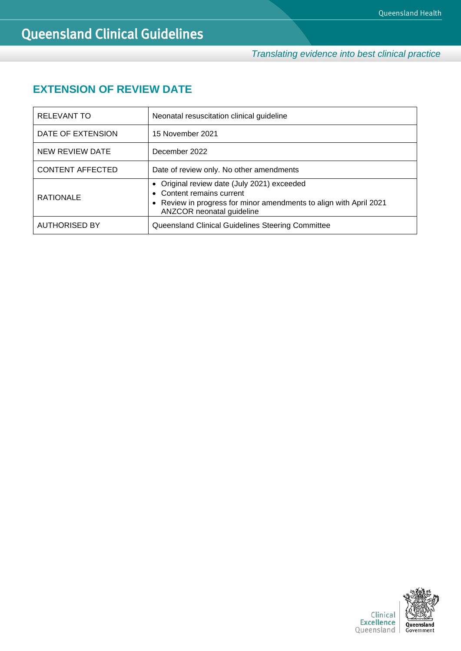*Translating evidence into best clinical practice*

## **EXTENSION OF REVIEW DATE**

| <b>RELEVANT TO</b>      | Neonatal resuscitation clinical guideline                                                                                                                                   |  |
|-------------------------|-----------------------------------------------------------------------------------------------------------------------------------------------------------------------------|--|
| DATE OF EXTENSION       | 15 November 2021                                                                                                                                                            |  |
| NEW REVIEW DATE         | December 2022                                                                                                                                                               |  |
| <b>CONTENT AFFECTED</b> | Date of review only. No other amendments                                                                                                                                    |  |
| <b>RATIONALE</b>        | • Original review date (July 2021) exceeded<br>• Content remains current<br>• Review in progress for minor amendments to align with April 2021<br>ANZCOR neonatal guideline |  |
| <b>AUTHORISED BY</b>    | Queensland Clinical Guidelines Steering Committee                                                                                                                           |  |

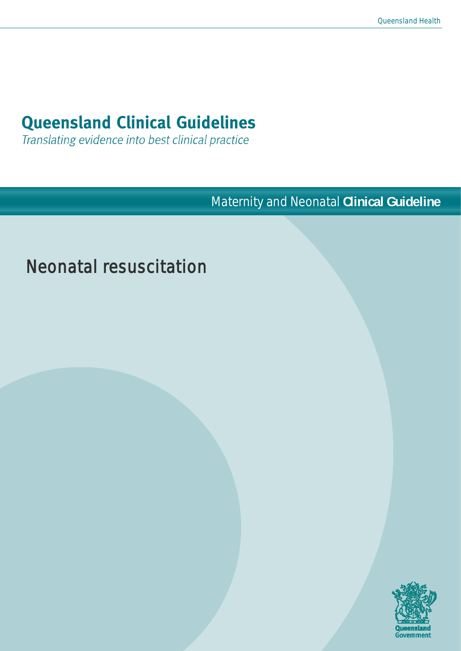# **Queensland Clinical Guidelines**

Translating evidence into best clinical practice

**Maternity and Neonatal Clinical Guideline** 

# Neonatal resuscitation

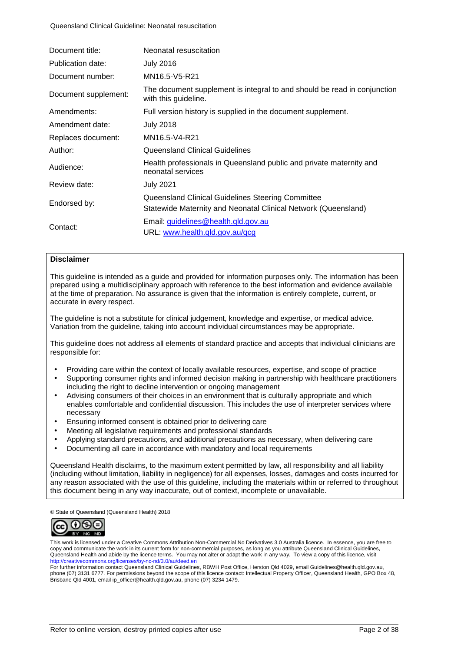| Document title:      | Neonatal resuscitation                                                                                              |
|----------------------|---------------------------------------------------------------------------------------------------------------------|
| Publication date:    | <b>July 2016</b>                                                                                                    |
| Document number:     | MN16.5-V5-R21                                                                                                       |
| Document supplement: | The document supplement is integral to and should be read in conjunction<br>with this guideline.                    |
| Amendments:          | Full version history is supplied in the document supplement.                                                        |
| Amendment date:      | <b>July 2018</b>                                                                                                    |
| Replaces document:   | MN16.5-V4-R21                                                                                                       |
| Author:              | <b>Queensland Clinical Guidelines</b>                                                                               |
| Audience:            | Health professionals in Queensland public and private maternity and<br>neonatal services                            |
| Review date:         | <b>July 2021</b>                                                                                                    |
| Endorsed by:         | Queensland Clinical Guidelines Steering Committee<br>Statewide Maternity and Neonatal Clinical Network (Queensland) |
| Contact:             | Email: guidelines@health.qld.gov.au<br>URL: www.health.qld.gov.au/qcg                                               |

#### **Disclaimer**

This guideline is intended as a guide and provided for information purposes only. The information has been prepared using a multidisciplinary approach with reference to the best information and evidence available at the time of preparation. No assurance is given that the information is entirely complete, current, or accurate in every respect.

The guideline is not a substitute for clinical judgement, knowledge and expertise, or medical advice. Variation from the guideline, taking into account individual circumstances may be appropriate.

This guideline does not address all elements of standard practice and accepts that individual clinicians are responsible for:

- Providing care within the context of locally available resources, expertise, and scope of practice
- Supporting consumer rights and informed decision making in partnership with healthcare practitioners including the right to decline intervention or ongoing management
- Advising consumers of their choices in an environment that is culturally appropriate and which enables comfortable and confidential discussion. This includes the use of interpreter services where necessary
- Ensuring informed consent is obtained prior to delivering care
- Meeting all legislative requirements and professional standards
- Applying standard precautions, and additional precautions as necessary, when delivering care
- Documenting all care in accordance with mandatory and local requirements

Queensland Health disclaims, to the maximum extent permitted by law, all responsibility and all liability (including without limitation, liability in negligence) for all expenses, losses, damages and costs incurred for any reason associated with the use of this guideline, including the materials within or referred to throughout this document being in any way inaccurate, out of context, incomplete or unavailable.

© State of Queensland (Queensland Health) 2018



This work is licensed under a Creative Commons Attribution Non-Commercial No Derivatives 3.0 Australia licence. In essence, you are free to copy and communicate the work in its current form for non-commercial purposes, as long as you attribute Queensland Clinical Guidelines, Queensland Health and abide by the licence terms. You may not alter or adapt the work in any way. To view a copy of this licence, visit <http://creativecommons.org/licenses/by-nc-nd/3.0/au/deed.en>

For further information contact Queensland Clinical Guidelines, RBWH Post Office, Herston Qld 4029, emai[l Guidelines@health.qld.gov.au,](mailto:Guidelines@health.qld.gov.au) phone (07) 3131 6777. For permissions beyond the scope of this licence contact: Intellectual Property Officer, Queensland Health, GPO Box 48, Brisbane Qld 4001, email ip\_officer@health.qld.gov.au, phone (07) 3234 1479.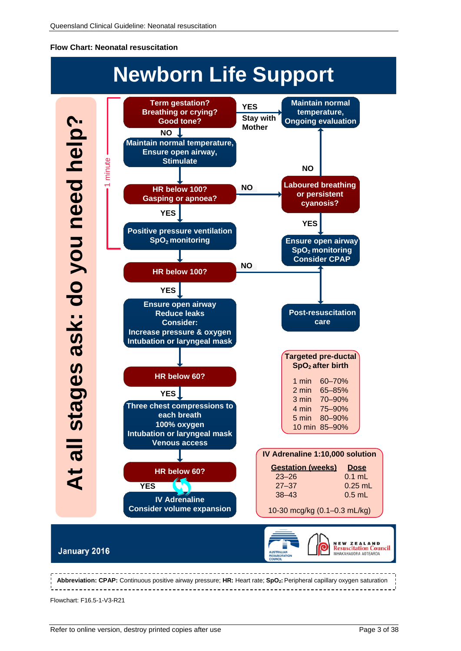#### <span id="page-3-0"></span>**Flow Chart: Neonatal resuscitation**



Flowchart: F16.5-1-V3-R21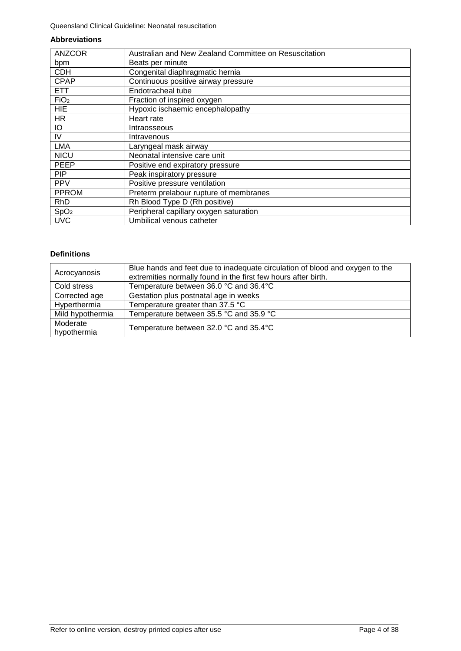#### **Abbreviations**

| <b>ANZCOR</b>    | Australian and New Zealand Committee on Resuscitation |
|------------------|-------------------------------------------------------|
| bpm              | Beats per minute                                      |
| <b>CDH</b>       | Congenital diaphragmatic hernia                       |
| <b>CPAP</b>      | Continuous positive airway pressure                   |
| <b>ETT</b>       | Endotracheal tube                                     |
| FiO <sub>2</sub> | Fraction of inspired oxygen                           |
| <b>HIE</b>       | Hypoxic ischaemic encephalopathy                      |
| <b>HR</b>        | Heart rate                                            |
| IО               | Intraosseous                                          |
| IV               | Intravenous                                           |
| <b>LMA</b>       | Laryngeal mask airway                                 |
| <b>NICU</b>      | Neonatal intensive care unit                          |
| <b>PEEP</b>      | Positive end expiratory pressure                      |
| <b>PIP</b>       | Peak inspiratory pressure                             |
| <b>PPV</b>       | Positive pressure ventilation                         |
| <b>PPROM</b>     | Preterm prelabour rupture of membranes                |
| <b>RhD</b>       | Rh Blood Type D (Rh positive)                         |
| SpO <sub>2</sub> | Peripheral capillary oxygen saturation                |
| <b>UVC</b>       | Umbilical venous catheter                             |

#### **Definitions**

| Acrocyanosis            | Blue hands and feet due to inadequate circulation of blood and oxygen to the<br>extremities normally found in the first few hours after birth. |
|-------------------------|------------------------------------------------------------------------------------------------------------------------------------------------|
| Cold stress             | Temperature between 36.0 °C and 36.4 °C                                                                                                        |
| Corrected age           | Gestation plus postnatal age in weeks                                                                                                          |
| Hyperthermia            | Temperature greater than 37.5 °C                                                                                                               |
| Mild hypothermia        | Temperature between 35.5 °C and 35.9 °C                                                                                                        |
| Moderate<br>hypothermia | Temperature between 32.0 °C and 35.4°C                                                                                                         |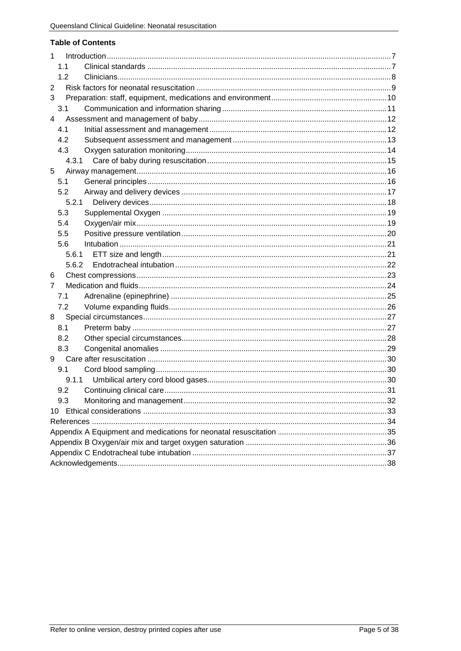#### **Table of Contents**

| 1     |
|-------|
| 1.1   |
| 1.2   |
| 2     |
| 3     |
| 3.1   |
| 4     |
| 4.1   |
| 4.2   |
| 4.3   |
| 4.3.1 |
| 5     |
| 5.1   |
| 5.2   |
| 5.2.1 |
| 5.3   |
| 5.4   |
| 5.5   |
| 5.6   |
| 5.6.1 |
| 5.6.2 |
| 6     |
| 7     |
| 7.1   |
| 7.2   |
| 8     |
| 8.1   |
| 8.2   |
| 8.3   |
| 9     |
| 9.1   |
| 9.1.1 |
| 9.2   |
| 9.3   |
| 10    |
|       |
|       |
|       |
|       |
|       |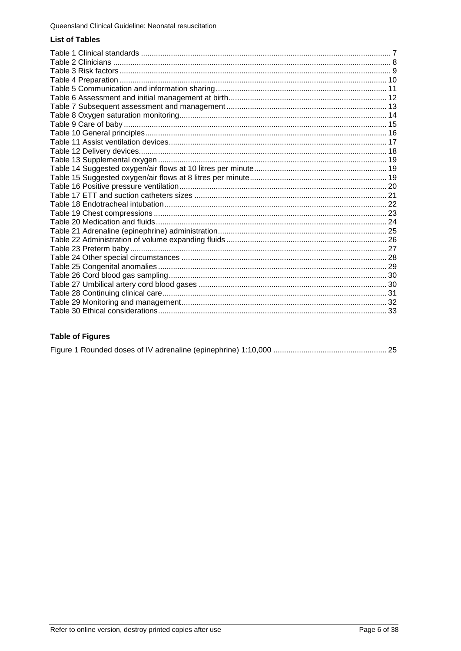#### **List of Tables**

### **Table of Figures**

|--|--|--|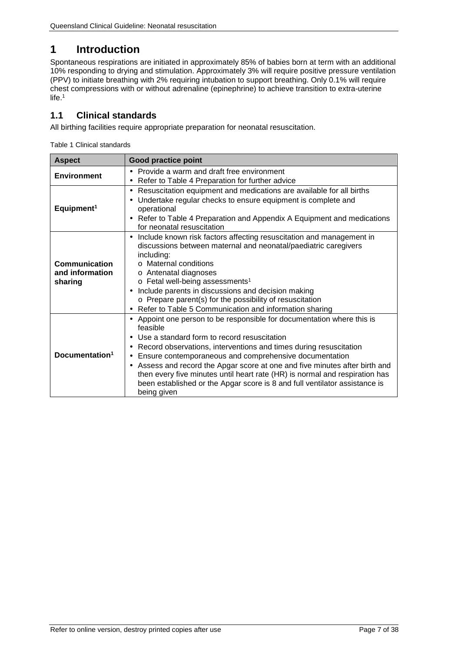## <span id="page-7-0"></span>**1 Introduction**

Spontaneous respirations are initiated in approximately 85% of babies born at term with an additional 10% responding to drying and stimulation. Approximately 3% will require positive pressure ventilation (PPV) to initiate breathing with 2% requiring intubation to support breathing. Only 0.1% will require chest compressions with or without adrenaline (epinephrine) to achieve transition to extra-uterine life.<sup>1</sup>

### <span id="page-7-1"></span>**1.1 Clinical standards**

<span id="page-7-2"></span>All birthing facilities require appropriate preparation for neonatal resuscitation.

Table 1 Clinical standards

| <b>Aspect</b>                               | <b>Good practice point</b>                                                                                                                                                                                                                                                                                                                                                                                                                                                                                                                          |  |
|---------------------------------------------|-----------------------------------------------------------------------------------------------------------------------------------------------------------------------------------------------------------------------------------------------------------------------------------------------------------------------------------------------------------------------------------------------------------------------------------------------------------------------------------------------------------------------------------------------------|--|
| <b>Environment</b>                          | Provide a warm and draft free environment<br>٠<br>Refer to Table 4 Preparation for further advice                                                                                                                                                                                                                                                                                                                                                                                                                                                   |  |
| Equipment <sup>1</sup>                      | Resuscitation equipment and medications are available for all births<br>٠<br>Undertake regular checks to ensure equipment is complete and<br>operational<br>Refer to Table 4 Preparation and Appendix A Equipment and medications<br>$\blacksquare$<br>for neonatal resuscitation                                                                                                                                                                                                                                                                   |  |
| Communication<br>and information<br>sharing | Include known risk factors affecting resuscitation and management in<br>٠<br>discussions between maternal and neonatal/paediatric caregivers<br>including:<br>$\circ$ Maternal conditions<br>o Antenatal diagnoses<br>o Fetal well-being assessments <sup>1</sup><br>Include parents in discussions and decision making<br>$\circ$ Prepare parent(s) for the possibility of resuscitation<br>Refer to Table 5 Communication and information sharing                                                                                                 |  |
| Documentation <sup>1</sup>                  | Appoint one person to be responsible for documentation where this is<br>٠<br>feasible<br>Use a standard form to record resuscitation<br>Record observations, interventions and times during resuscitation<br>$\blacksquare$<br>Ensure contemporaneous and comprehensive documentation<br>٠<br>Assess and record the Apgar score at one and five minutes after birth and<br>then every five minutes until heart rate (HR) is normal and respiration has<br>been established or the Apgar score is 8 and full ventilator assistance is<br>being given |  |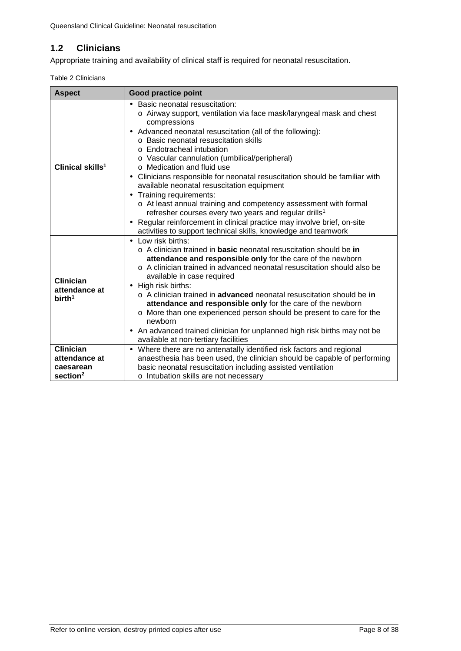## <span id="page-8-0"></span>**1.2 Clinicians**

<span id="page-8-1"></span>Appropriate training and availability of clinical staff is required for neonatal resuscitation.

|  | Table 2 Clinicians |
|--|--------------------|
|--|--------------------|

| <b>Aspect</b>                                    | <b>Good practice point</b>                                                                                                                                                                                                                                                                                                                                                                                                                                                                                                                                                                                                                                                                                                                                                                                                    |
|--------------------------------------------------|-------------------------------------------------------------------------------------------------------------------------------------------------------------------------------------------------------------------------------------------------------------------------------------------------------------------------------------------------------------------------------------------------------------------------------------------------------------------------------------------------------------------------------------------------------------------------------------------------------------------------------------------------------------------------------------------------------------------------------------------------------------------------------------------------------------------------------|
| Clinical skills <sup>1</sup>                     | Basic neonatal resuscitation:<br>o Airway support, ventilation via face mask/laryngeal mask and chest<br>compressions<br>Advanced neonatal resuscitation (all of the following):<br>o Basic neonatal resuscitation skills<br>o Endotracheal intubation<br>o Vascular cannulation (umbilical/peripheral)<br>$\circ$ Medication and fluid use<br>Clinicians responsible for neonatal resuscitation should be familiar with<br>$\blacksquare$<br>available neonatal resuscitation equipment<br>Training requirements:<br>$\blacksquare$<br>o At least annual training and competency assessment with formal<br>refresher courses every two years and regular drills <sup>1</sup><br>Regular reinforcement in clinical practice may involve brief, on-site<br>ï<br>activities to support technical skills, knowledge and teamwork |
| Clinician<br>attendance at<br>birth <sup>1</sup> | Low risk births:<br>o A clinician trained in <b>basic</b> neonatal resuscitation should be in<br>attendance and responsible only for the care of the newborn<br>$\circ$ A clinician trained in advanced neonatal resuscitation should also be<br>available in case required<br>High risk births:<br>$\blacksquare$<br>$\circ$ A clinician trained in <b>advanced</b> neonatal resuscitation should be in<br>attendance and responsible only for the care of the newborn<br>o More than one experienced person should be present to care for the<br>newborn<br>An advanced trained clinician for unplanned high risk births may not be<br>available at non-tertiary facilities                                                                                                                                                 |
| <b>Clinician</b>                                 | Where there are no antenatally identified risk factors and regional                                                                                                                                                                                                                                                                                                                                                                                                                                                                                                                                                                                                                                                                                                                                                           |
| attendance at<br>caesarean                       | anaesthesia has been used, the clinician should be capable of performing<br>basic neonatal resuscitation including assisted ventilation                                                                                                                                                                                                                                                                                                                                                                                                                                                                                                                                                                                                                                                                                       |
| section <sup>2</sup>                             | o Intubation skills are not necessary                                                                                                                                                                                                                                                                                                                                                                                                                                                                                                                                                                                                                                                                                                                                                                                         |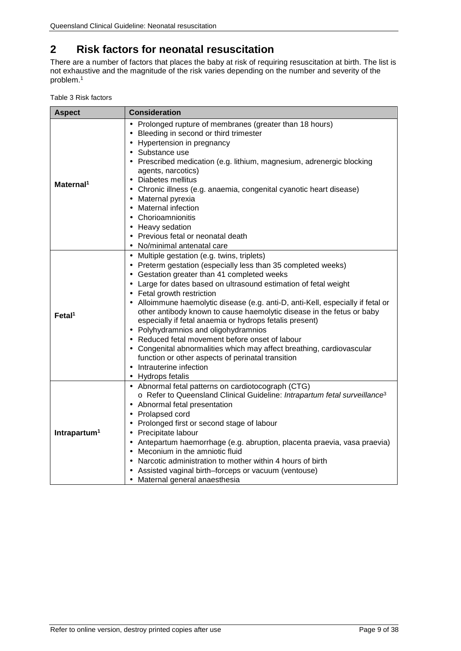## <span id="page-9-0"></span>**2 Risk factors for neonatal resuscitation**

There are a number of factors that places the baby at risk of requiring resuscitation at birth. The list is not exhaustive and the magnitude of the risk varies depending on the number and severity of the problem. 1

<span id="page-9-1"></span>

| Table 3 Risk factors |  |  |
|----------------------|--|--|
|----------------------|--|--|

| <b>Aspect</b>            | <b>Consideration</b>                                                                            |
|--------------------------|-------------------------------------------------------------------------------------------------|
|                          | Prolonged rupture of membranes (greater than 18 hours)<br>Bleeding in second or third trimester |
|                          | Hypertension in pregnancy                                                                       |
|                          | Substance use                                                                                   |
|                          | Prescribed medication (e.g. lithium, magnesium, adrenergic blocking                             |
|                          | agents, narcotics)                                                                              |
|                          | Diabetes mellitus<br>$\blacksquare$                                                             |
| Maternal <sup>1</sup>    | Chronic illness (e.g. anaemia, congenital cyanotic heart disease)<br>$\blacksquare$             |
|                          | Maternal pyrexia<br>٠                                                                           |
|                          | Maternal infection                                                                              |
|                          | Chorioamnionitis                                                                                |
|                          | Heavy sedation<br>$\blacksquare$                                                                |
|                          | Previous fetal or neonatal death                                                                |
|                          | No/minimal antenatal care                                                                       |
|                          | Multiple gestation (e.g. twins, triplets)<br>$\blacksquare$                                     |
|                          | Preterm gestation (especially less than 35 completed weeks)<br>$\blacksquare$                   |
|                          | Gestation greater than 41 completed weeks<br>٠                                                  |
|                          | Large for dates based on ultrasound estimation of fetal weight                                  |
|                          | Fetal growth restriction                                                                        |
|                          | Alloimmune haemolytic disease (e.g. anti-D, anti-Kell, especially if fetal or                   |
| $FetaI^1$                | other antibody known to cause haemolytic disease in the fetus or baby                           |
|                          | especially if fetal anaemia or hydrops fetalis present)                                         |
|                          | Polyhydramnios and oligohydramnios<br>$\blacksquare$                                            |
|                          | Reduced fetal movement before onset of labour                                                   |
|                          | Congenital abnormalities which may affect breathing, cardiovascular                             |
|                          | function or other aspects of perinatal transition                                               |
|                          | Intrauterine infection                                                                          |
|                          | Hydrops fetalis<br>$\blacksquare$                                                               |
|                          | Abnormal fetal patterns on cardiotocograph (CTG)<br>$\blacksquare$                              |
|                          | o Refer to Queensland Clinical Guideline: Intrapartum fetal surveillance <sup>3</sup>           |
|                          | Abnormal fetal presentation                                                                     |
|                          | Prolapsed cord                                                                                  |
|                          | Prolonged first or second stage of labour                                                       |
| Intrapartum <sup>1</sup> | Precipitate labour<br>$\blacksquare$                                                            |
|                          | Antepartum haemorrhage (e.g. abruption, placenta praevia, vasa praevia)                         |
|                          | Meconium in the amniotic fluid<br>$\blacksquare$                                                |
|                          | Narcotic administration to mother within 4 hours of birth<br>$\blacksquare$                     |
|                          | Assisted vaginal birth-forceps or vacuum (ventouse)                                             |
|                          | Maternal general anaesthesia                                                                    |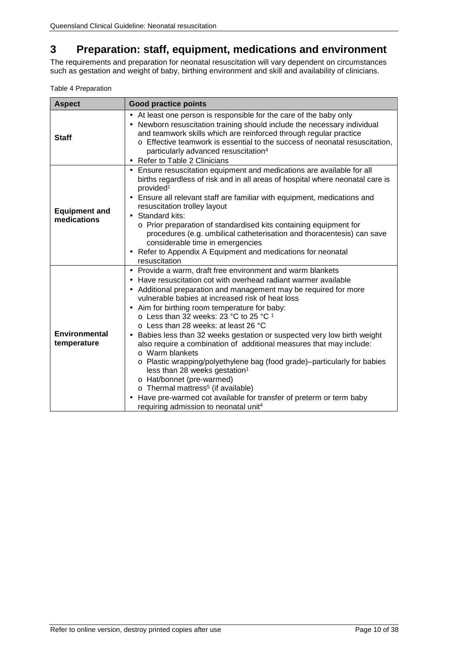## <span id="page-10-0"></span>**3 Preparation: staff, equipment, medications and environment**

The requirements and preparation for neonatal resuscitation will vary dependent on circumstances such as gestation and weight of baby, birthing environment and skill and availability of clinicians.

<span id="page-10-1"></span>

|  | Table 4 Preparation |
|--|---------------------|
|--|---------------------|

| <b>Aspect</b>                       | <b>Good practice points</b>                                                                                                                                                                                                                                                                                                                                                                                                                                                                                                                                                                                                                                                                                                                                                                                                                                                                                                                                     |
|-------------------------------------|-----------------------------------------------------------------------------------------------------------------------------------------------------------------------------------------------------------------------------------------------------------------------------------------------------------------------------------------------------------------------------------------------------------------------------------------------------------------------------------------------------------------------------------------------------------------------------------------------------------------------------------------------------------------------------------------------------------------------------------------------------------------------------------------------------------------------------------------------------------------------------------------------------------------------------------------------------------------|
| <b>Staff</b>                        | At least one person is responsible for the care of the baby only<br>٠<br>Newborn resuscitation training should include the necessary individual<br>٠<br>and teamwork skills which are reinforced through regular practice<br>o Effective teamwork is essential to the success of neonatal resuscitation,<br>particularly advanced resuscitation <sup>4</sup><br>Refer to Table 2 Clinicians                                                                                                                                                                                                                                                                                                                                                                                                                                                                                                                                                                     |
| <b>Equipment and</b><br>medications | Ensure resuscitation equipment and medications are available for all<br>births regardless of risk and in all areas of hospital where neonatal care is<br>provided <sup>1</sup><br>Ensure all relevant staff are familiar with equipment, medications and<br>resuscitation trolley layout<br>Standard kits:<br>ä,<br>o Prior preparation of standardised kits containing equipment for<br>procedures (e.g. umbilical catheterisation and thoracentesis) can save<br>considerable time in emergencies<br>Refer to Appendix A Equipment and medications for neonatal<br>$\blacksquare$<br>resuscitation                                                                                                                                                                                                                                                                                                                                                            |
| <b>Environmental</b><br>temperature | Provide a warm, draft free environment and warm blankets<br>$\blacksquare$<br>Have resuscitation cot with overhead radiant warmer available<br>Additional preparation and management may be required for more<br>$\blacksquare$<br>vulnerable babies at increased risk of heat loss<br>Aim for birthing room temperature for baby:<br>$\blacksquare$<br>$\circ$ Less than 32 weeks: 23 °C to 25 °C 1<br>$\circ$ Less than 28 weeks: at least 26 °C<br>Babies less than 32 weeks gestation or suspected very low birth weight<br>also require a combination of additional measures that may include:<br>$\circ$ Warm blankets<br>o Plastic wrapping/polyethylene bag (food grade)-particularly for babies<br>less than 28 weeks gestation <sup>1</sup><br>o Hat/bonnet (pre-warmed)<br>o Thermal mattress <sup>5</sup> (if available)<br>Have pre-warmed cot available for transfer of preterm or term baby<br>requiring admission to neonatal unit <sup>4</sup> |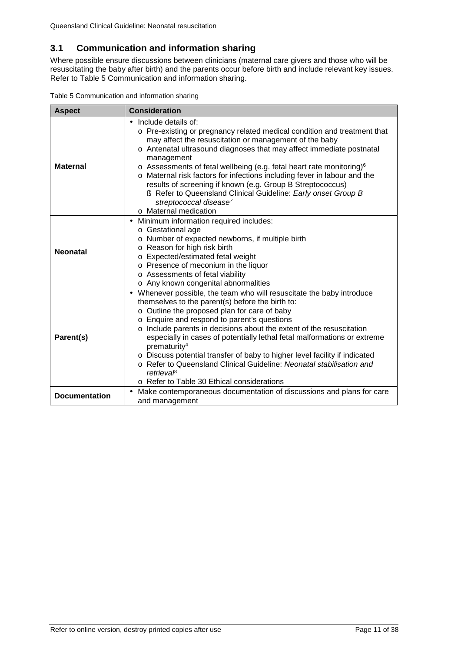### <span id="page-11-0"></span>**3.1 Communication and information sharing**

Where possible ensure discussions between clinicians (maternal care givers and those who will be resuscitating the baby after birth) and the parents occur before birth and include relevant key issues. Refer to [Table 5 Communication and information sharing.](#page-11-1)

<span id="page-11-1"></span>

| Table 5 Communication and information sharing |  |  |
|-----------------------------------------------|--|--|
|-----------------------------------------------|--|--|

| <b>Aspect</b>        | <b>Consideration</b>                                                                                                                                                                                                                                                                                                                                                                                                                                                                                                                                                                                                    |
|----------------------|-------------------------------------------------------------------------------------------------------------------------------------------------------------------------------------------------------------------------------------------------------------------------------------------------------------------------------------------------------------------------------------------------------------------------------------------------------------------------------------------------------------------------------------------------------------------------------------------------------------------------|
| <b>Maternal</b>      | Include details of:<br>o Pre-existing or pregnancy related medical condition and treatment that<br>may affect the resuscitation or management of the baby<br>o Antenatal ultrasound diagnoses that may affect immediate postnatal<br>management<br>$\circ$ Assessments of fetal wellbeing (e.g. fetal heart rate monitoring) $\circ$<br>o Maternal risk factors for infections including fever in labour and the<br>results of screening if known (e.g. Group B Streptococcus)<br>S Refer to Queensland Clinical Guideline: Early onset Group B<br>streptococcal disease <sup>7</sup><br>o Maternal medication          |
| <b>Neonatal</b>      | Minimum information required includes:<br>o Gestational age<br>o Number of expected newborns, if multiple birth<br>o Reason for high risk birth<br>o Expected/estimated fetal weight<br>o Presence of meconium in the liquor<br>o Assessments of fetal viability<br>o Any known congenital abnormalities                                                                                                                                                                                                                                                                                                                |
| Parent(s)            | Whenever possible, the team who will resuscitate the baby introduce<br>themselves to the parent(s) before the birth to:<br>o Outline the proposed plan for care of baby<br>o Enquire and respond to parent's questions<br>o Include parents in decisions about the extent of the resuscitation<br>especially in cases of potentially lethal fetal malformations or extreme<br>prematurity <sup>4</sup><br>o Discuss potential transfer of baby to higher level facility if indicated<br>o Refer to Queensland Clinical Guideline: Neonatal stabilisation and<br>retrievaß<br>○ Refer to Table 30 Ethical considerations |
| <b>Documentation</b> | Make contemporaneous documentation of discussions and plans for care<br>and management                                                                                                                                                                                                                                                                                                                                                                                                                                                                                                                                  |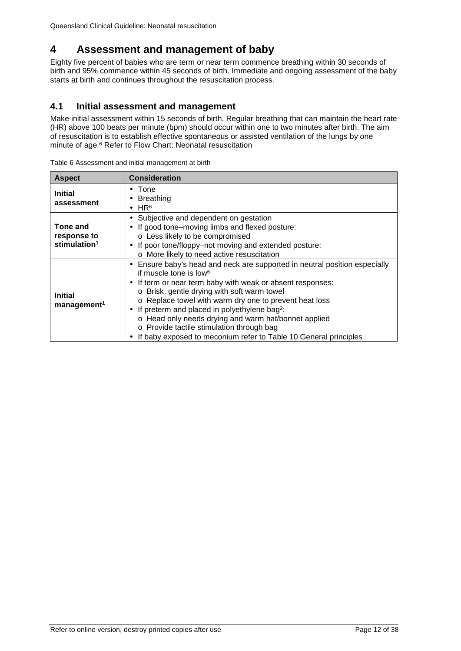## <span id="page-12-0"></span>**4 Assessment and management of baby**

Eighty five percent of babies who are term or near term commence breathing within 30 seconds of birth and 95% commence within 45 seconds of birth. Immediate and ongoing assessment of the baby starts at birth and continues throughout the resuscitation process.

### <span id="page-12-1"></span>**4.1 Initial assessment and management**

Make initial assessment within 15 seconds of birth. Regular breathing that can maintain the heart rate (HR) above 100 beats per minute (bpm) should occur within one to two minutes after birth. The aim of resuscitation is to establish effective spontaneous or assisted ventilation of the lungs by one minute of age. <sup>6</sup> Refer to [Flow Chart: Neonatal resuscitation](#page-3-0)

| <b>Aspect</b>                                       | <b>Consideration</b>                                                                                                                                                                                                                                                                                                                                                                                                                                                                                                                                     |
|-----------------------------------------------------|----------------------------------------------------------------------------------------------------------------------------------------------------------------------------------------------------------------------------------------------------------------------------------------------------------------------------------------------------------------------------------------------------------------------------------------------------------------------------------------------------------------------------------------------------------|
| <b>Initial</b><br>assessment                        | Tone<br>٠<br><b>Breathing</b><br>٠<br>HR <sup>6</sup>                                                                                                                                                                                                                                                                                                                                                                                                                                                                                                    |
| Tone and<br>response to<br>stimulation <sup>1</sup> | Subjective and dependent on gestation<br>٠<br>If good tone-moving limbs and flexed posture:<br>o Less likely to be compromised<br>If poor tone/floppy-not moving and extended posture:<br>o More likely to need active resuscitation                                                                                                                                                                                                                                                                                                                     |
| <b>Initial</b><br>management <sup>1</sup>           | Ensure baby's head and neck are supported in neutral position especially<br>٠<br>if muscle tone is low <sup>6</sup><br>If term or near term baby with weak or absent responses:<br>$\blacksquare$<br>Brisk, gentle drying with soft warm towel<br>$\circ$<br>o Replace towel with warm dry one to prevent heat loss<br>If preterm and placed in polyethylene bag <sup>2</sup> :<br>o Head only needs drying and warm hat/bonnet applied<br>o Provide tactile stimulation through bag<br>If baby exposed to meconium refer to Table 10 General principles |

<span id="page-12-2"></span>Table 6 Assessment and initial management at birth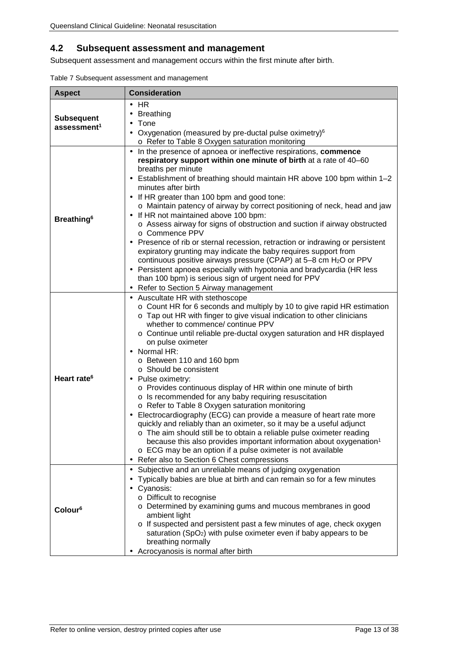### <span id="page-13-0"></span>**4.2 Subsequent assessment and management**

Subsequent assessment and management occurs within the first minute after birth.

<span id="page-13-1"></span>

|  |  | Table 7 Subsequent assessment and management |
|--|--|----------------------------------------------|
|  |  |                                              |

| <b>Aspect</b>                                | <b>Consideration</b>                                                                                                                                                                                                                                                                                                                                                                                                                                                                                                                                                                                                                                                                                                                                                                                                                                                                                                                                                                                                                                      |
|----------------------------------------------|-----------------------------------------------------------------------------------------------------------------------------------------------------------------------------------------------------------------------------------------------------------------------------------------------------------------------------------------------------------------------------------------------------------------------------------------------------------------------------------------------------------------------------------------------------------------------------------------------------------------------------------------------------------------------------------------------------------------------------------------------------------------------------------------------------------------------------------------------------------------------------------------------------------------------------------------------------------------------------------------------------------------------------------------------------------|
| <b>Subsequent</b><br>assessment <sup>1</sup> | <b>HR</b><br><b>Breathing</b><br>Tone<br>Oxygenation (measured by pre-ductal pulse oximetry) <sup>6</sup><br>$\blacksquare$<br>o Refer to Table 8 Oxygen saturation monitoring                                                                                                                                                                                                                                                                                                                                                                                                                                                                                                                                                                                                                                                                                                                                                                                                                                                                            |
| <b>Breathing</b> <sup>6</sup>                | In the presence of apnoea or ineffective respirations, commence<br>$\blacksquare$<br>respiratory support within one minute of birth at a rate of 40-60<br>breaths per minute<br>Establishment of breathing should maintain HR above 100 bpm within 1-2<br>٠<br>minutes after birth<br>If HR greater than 100 bpm and good tone:<br>$\blacksquare$<br>o Maintain patency of airway by correct positioning of neck, head and jaw<br>If HR not maintained above 100 bpm:<br>o Assess airway for signs of obstruction and suction if airway obstructed<br>○ Commence PPV<br>Presence of rib or sternal recession, retraction or indrawing or persistent<br>expiratory grunting may indicate the baby requires support from<br>continuous positive airways pressure (CPAP) at 5-8 cm H <sub>2</sub> O or PPV<br>Persistent apnoea especially with hypotonia and bradycardia (HR less<br>than 100 bpm) is serious sign of urgent need for PPV<br>Refer to Section 5 Airway management                                                                           |
| Heart rate <sup>6</sup>                      | Auscultate HR with stethoscope<br>$\blacksquare$<br>o Count HR for 6 seconds and multiply by 10 to give rapid HR estimation<br>o Tap out HR with finger to give visual indication to other clinicians<br>whether to commence/ continue PPV<br>o Continue until reliable pre-ductal oxygen saturation and HR displayed<br>on pulse oximeter<br>Normal HR:<br>o Between 110 and 160 bpm<br>○ Should be consistent<br>Pulse oximetry:<br>$\blacksquare$<br>o Provides continuous display of HR within one minute of birth<br>o Is recommended for any baby requiring resuscitation<br>o Refer to Table 8 Oxygen saturation monitoring<br>Electrocardiography (ECG) can provide a measure of heart rate more<br>quickly and reliably than an oximeter, so it may be a useful adjunct<br>o The aim should still be to obtain a reliable pulse oximeter reading<br>because this also provides important information about oxygenation <sup>1</sup><br>o ECG may be an option if a pulse oximeter is not available<br>Refer also to Section 6 Chest compressions |
| Colour <sup>6</sup>                          | Subjective and an unreliable means of judging oxygenation<br>$\blacksquare$<br>Typically babies are blue at birth and can remain so for a few minutes<br>Cyanosis:<br>o Difficult to recognise<br>o Determined by examining gums and mucous membranes in good<br>ambient light<br>o If suspected and persistent past a few minutes of age, check oxygen<br>saturation (SpO <sub>2</sub> ) with pulse oximeter even if baby appears to be<br>breathing normally<br>Acrocyanosis is normal after birth                                                                                                                                                                                                                                                                                                                                                                                                                                                                                                                                                      |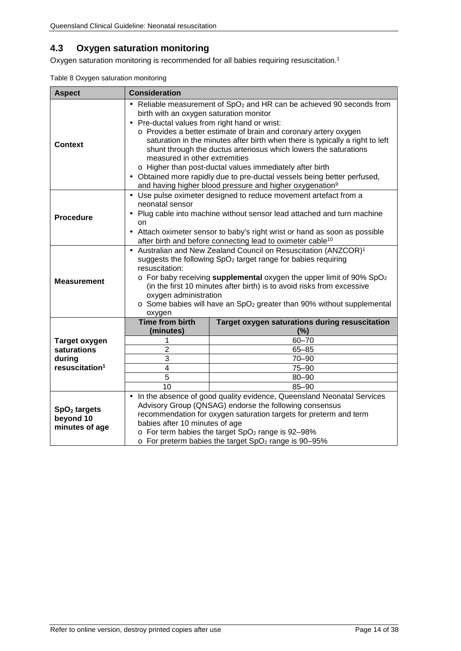### <span id="page-14-0"></span>**4.3 Oxygen saturation monitoring**

<span id="page-14-1"></span>Oxygen saturation monitoring is recommended for all babies requiring resuscitation. 1

| <b>Aspect</b>                                           | <b>Consideration</b>                                                                                                                                                                                                                                                                                                                                                                                                                                                                                                                                                                                                                                                      |                                                |  |
|---------------------------------------------------------|---------------------------------------------------------------------------------------------------------------------------------------------------------------------------------------------------------------------------------------------------------------------------------------------------------------------------------------------------------------------------------------------------------------------------------------------------------------------------------------------------------------------------------------------------------------------------------------------------------------------------------------------------------------------------|------------------------------------------------|--|
| Context                                                 | Reliable measurement of SpO <sub>2</sub> and HR can be achieved 90 seconds from<br>birth with an oxygen saturation monitor<br>Pre-ductal values from right hand or wrist:<br>$\blacksquare$<br>o Provides a better estimate of brain and coronary artery oxygen<br>saturation in the minutes after birth when there is typically a right to left<br>shunt through the ductus arteriosus which lowers the saturations<br>measured in other extremities<br>o Higher than post-ductal values immediately after birth<br>Obtained more rapidly due to pre-ductal vessels being better perfused,<br>l,<br>and having higher blood pressure and higher oxygenation <sup>9</sup> |                                                |  |
| <b>Procedure</b>                                        | Use pulse oximeter designed to reduce movement artefact from a<br>neonatal sensor<br>Plug cable into machine without sensor lead attached and turn machine<br>í,<br>on<br>Attach oximeter sensor to baby's right wrist or hand as soon as possible<br>í,<br>after birth and before connecting lead to oximeter cable <sup>10</sup>                                                                                                                                                                                                                                                                                                                                        |                                                |  |
| <b>Measurement</b>                                      | Australian and New Zealand Council on Resuscitation (ANZCOR) <sup>1</sup><br>suggests the following SpO <sub>2</sub> target range for babies requiring<br>resuscitation:<br>o For baby receiving supplemental oxygen the upper limit of 90% SpO <sub>2</sub><br>(in the first 10 minutes after birth) is to avoid risks from excessive<br>oxygen administration<br>$\circ$ Some babies will have an SpO <sub>2</sub> greater than 90% without supplemental<br>oxygen                                                                                                                                                                                                      |                                                |  |
|                                                         | <b>Time from birth</b>                                                                                                                                                                                                                                                                                                                                                                                                                                                                                                                                                                                                                                                    | Target oxygen saturations during resuscitation |  |
| <b>Target oxygen</b>                                    | (minutes)<br>1                                                                                                                                                                                                                                                                                                                                                                                                                                                                                                                                                                                                                                                            | (%)<br>$60 - 70$                               |  |
| saturations                                             | $\overline{2}$                                                                                                                                                                                                                                                                                                                                                                                                                                                                                                                                                                                                                                                            | $65 - 85$                                      |  |
| during                                                  | 3                                                                                                                                                                                                                                                                                                                                                                                                                                                                                                                                                                                                                                                                         | $70 - 90$                                      |  |
| resuscitation <sup>1</sup>                              | 4                                                                                                                                                                                                                                                                                                                                                                                                                                                                                                                                                                                                                                                                         | 75-90                                          |  |
|                                                         | $\overline{5}$                                                                                                                                                                                                                                                                                                                                                                                                                                                                                                                                                                                                                                                            | $80 - 90$                                      |  |
|                                                         | 10                                                                                                                                                                                                                                                                                                                                                                                                                                                                                                                                                                                                                                                                        | $85 - 90$                                      |  |
| SpO <sub>2</sub> targets<br>beyond 10<br>minutes of age | In the absence of good quality evidence, Queensland Neonatal Services<br>$\blacksquare$<br>Advisory Group (QNSAG) endorse the following consensus<br>recommendation for oxygen saturation targets for preterm and term<br>babies after 10 minutes of age<br>o For term babies the target SpO <sub>2</sub> range is 92-98%<br>o For preterm babies the target SpO <sub>2</sub> range is 90-95%                                                                                                                                                                                                                                                                             |                                                |  |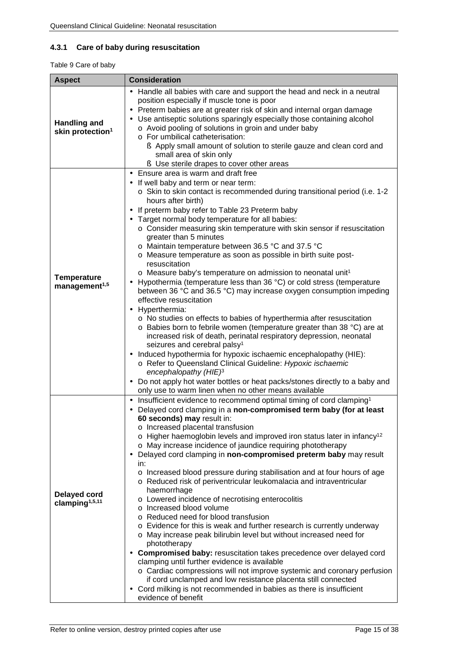### <span id="page-15-0"></span>**4.3.1 Care of baby during resuscitation**

<span id="page-15-1"></span>Table 9 Care of baby

| <b>Aspect</b>                                       | <b>Consideration</b>                                                                                                                                                                                                                                                                                                                                                                                                                                                                                                                                                                                                                                                                                                                                                                                                                                                                                                                                                                                                                                                                                                                                                                                                                                                                                                                                                                                     |  |  |
|-----------------------------------------------------|----------------------------------------------------------------------------------------------------------------------------------------------------------------------------------------------------------------------------------------------------------------------------------------------------------------------------------------------------------------------------------------------------------------------------------------------------------------------------------------------------------------------------------------------------------------------------------------------------------------------------------------------------------------------------------------------------------------------------------------------------------------------------------------------------------------------------------------------------------------------------------------------------------------------------------------------------------------------------------------------------------------------------------------------------------------------------------------------------------------------------------------------------------------------------------------------------------------------------------------------------------------------------------------------------------------------------------------------------------------------------------------------------------|--|--|
| <b>Handling and</b><br>skin protection <sup>1</sup> | Handle all babies with care and support the head and neck in a neutral<br>position especially if muscle tone is poor<br>Preterm babies are at greater risk of skin and internal organ damage<br>Use antiseptic solutions sparingly especially those containing alcohol<br>o Avoid pooling of solutions in groin and under baby<br>o For umbilical catheterisation:<br>S Apply small amount of solution to sterile gauze and clean cord and<br>small area of skin only<br>S Use sterile drapes to cover other areas                                                                                                                                                                                                                                                                                                                                                                                                                                                                                                                                                                                                                                                                                                                                                                                                                                                                                       |  |  |
| <b>Temperature</b><br>management <sup>1,5</sup>     | Ensure area is warm and draft free<br>If well baby and term or near term:<br>o Skin to skin contact is recommended during transitional period (i.e. 1-2<br>hours after birth)<br>If preterm baby refer to Table 23 Preterm baby<br>Target normal body temperature for all babies:<br>o Consider measuring skin temperature with skin sensor if resuscitation<br>greater than 5 minutes<br>o Maintain temperature between 36.5 °C and 37.5 °C<br>o Measure temperature as soon as possible in birth suite post-<br>resuscitation<br>$\circ$ Measure baby's temperature on admission to neonatal unit <sup>1</sup><br>Hypothermia (temperature less than 36 °C) or cold stress (temperature<br>between 36 °C and 36.5 °C) may increase oxygen consumption impeding<br>effective resuscitation<br>Hyperthermia:<br>o No studies on effects to babies of hyperthermia after resuscitation<br>o Babies born to febrile women (temperature greater than 38 °C) are at<br>increased risk of death, perinatal respiratory depression, neonatal<br>seizures and cerebral palsy <sup>1</sup><br>Induced hypothermia for hypoxic ischaemic encephalopathy (HIE):<br>$\blacksquare$<br>o Refer to Queensland Clinical Guideline: Hypoxic ischaemic<br>encephalopathy $(HIE)^3$<br>Do not apply hot water bottles or heat packs/stones directly to a baby and<br>only use to warm linen when no other means available |  |  |
| <b>Delayed cord</b><br>clamping <sup>1,5,11</sup>   | Insufficient evidence to recommend optimal timing of cord clamping <sup>1</sup><br>$\blacksquare$<br>Delayed cord clamping in a non-compromised term baby (for at least<br>60 seconds) may result in:<br>o Increased placental transfusion<br>$\circ$ Higher haemoglobin levels and improved iron status later in infancy <sup>12</sup><br>o May increase incidence of jaundice requiring phototherapy<br>Delayed cord clamping in non-compromised preterm baby may result<br>in:<br>o Increased blood pressure during stabilisation and at four hours of age<br>o Reduced risk of periventricular leukomalacia and intraventricular<br>haemorrhage<br>o Lowered incidence of necrotising enterocolitis<br>o Increased blood volume<br>o Reduced need for blood transfusion<br>o Evidence for this is weak and further research is currently underway<br>o May increase peak bilirubin level but without increased need for<br>phototherapy<br>Compromised baby: resuscitation takes precedence over delayed cord<br>$\blacksquare$<br>clamping until further evidence is available<br>o Cardiac compressions will not improve systemic and coronary perfusion<br>if cord unclamped and low resistance placenta still connected<br>Cord milking is not recommended in babies as there is insufficient<br>evidence of benefit                                                                             |  |  |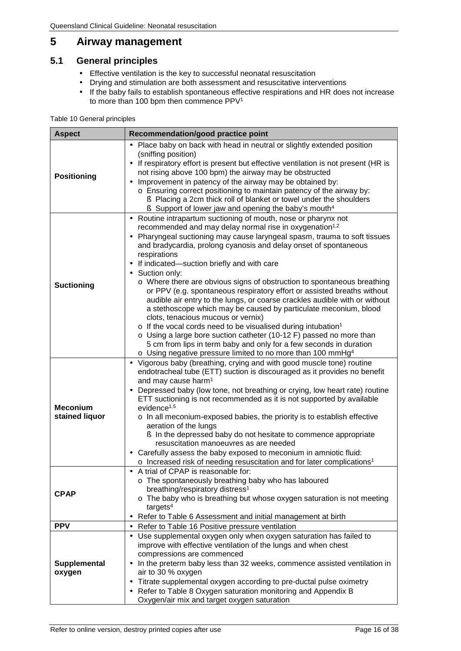## <span id="page-16-0"></span>**5 Airway management**

### <span id="page-16-1"></span>**5.1 General principles**

- Effective ventilation is the key to successful neonatal resuscitation  $\hat{\mathbf{r}}$
- Drying and stimulation are both assessment and resuscitative interventions t,
- If the baby fails to establish spontaneous effective respirations and HR does not increase  $\mathbb{Z}^2$ to more than 100 bpm then commence PPV1

#### <span id="page-16-2"></span>Table 10 General principles

| <b>Aspect</b>                     | Recommendation/good practice point                                                                                                                                                                                                                                                                                                                                                                                                                                                                                                                                                                                                                                                                                                                                                                                                                                                                                                                                                                                               |
|-----------------------------------|----------------------------------------------------------------------------------------------------------------------------------------------------------------------------------------------------------------------------------------------------------------------------------------------------------------------------------------------------------------------------------------------------------------------------------------------------------------------------------------------------------------------------------------------------------------------------------------------------------------------------------------------------------------------------------------------------------------------------------------------------------------------------------------------------------------------------------------------------------------------------------------------------------------------------------------------------------------------------------------------------------------------------------|
| <b>Positioning</b>                | Place baby on back with head in neutral or slightly extended position<br>(sniffing position)<br>If respiratory effort is present but effective ventilation is not present (HR is<br>$\blacksquare$<br>not rising above 100 bpm) the airway may be obstructed<br>Improvement in patency of the airway may be obtained by:<br>o Ensuring correct positioning to maintain patency of the airway by:<br>Similarly Placing a 2cm thick roll of blanket or towel under the shoulders<br>Simport of lower jaw and opening the baby's mouth <sup>4</sup>                                                                                                                                                                                                                                                                                                                                                                                                                                                                                 |
| <b>Suctioning</b>                 | Routine intrapartum suctioning of mouth, nose or pharynx not<br>recommended and may delay normal rise in oxygenation <sup>1,2</sup><br>Pharyngeal suctioning may cause laryngeal spasm, trauma to soft tissues<br>and bradycardia, prolong cyanosis and delay onset of spontaneous<br>respirations<br>If indicated-suction briefly and with care<br>Suction only:<br>o Where there are obvious signs of obstruction to spontaneous breathing<br>or PPV (e.g. spontaneous respiratory effort or assisted breaths without<br>audible air entry to the lungs, or coarse crackles audible with or without<br>a stethoscope which may be caused by particulate meconium, blood<br>clots, tenacious mucous or vernix)<br>$\circ$ If the vocal cords need to be visualised during intubation <sup>1</sup><br>o Using a large bore suction catheter (10-12 F) passed no more than<br>5 cm from lips in term baby and only for a few seconds in duration<br>$\circ$ Using negative pressure limited to no more than 100 mmHg <sup>4</sup> |
| <b>Meconium</b><br>stained liquor | Vigorous baby (breathing, crying and with good muscle tone) routine<br>٠<br>endotracheal tube (ETT) suction is discouraged as it provides no benefit<br>and may cause harm <sup>1</sup><br>Depressed baby (low tone, not breathing or crying, low heart rate) routine<br>ETT suctioning is not recommended as it is not supported by available<br>evidence <sup>1,5</sup><br>o In all meconium-exposed babies, the priority is to establish effective<br>aeration of the lungs<br>In the depressed baby do not hesitate to commence appropriate<br>resuscitation manoeuvres as are needed<br>Carefully assess the baby exposed to meconium in amniotic fluid:<br>ä,<br>o Increased risk of needing resuscitation and for later complications <sup>1</sup>                                                                                                                                                                                                                                                                        |
| <b>CPAP</b>                       | A trial of CPAP is reasonable for:<br>o The spontaneously breathing baby who has laboured<br>breathing/respiratory distress <sup>1</sup><br>o The baby who is breathing but whose oxygen saturation is not meeting<br>targest <sup>4</sup><br>Refer to Table 6 Assessment and initial management at birth                                                                                                                                                                                                                                                                                                                                                                                                                                                                                                                                                                                                                                                                                                                        |
| <b>PPV</b>                        | Refer to Table 16 Positive pressure ventilation<br>$\blacksquare$                                                                                                                                                                                                                                                                                                                                                                                                                                                                                                                                                                                                                                                                                                                                                                                                                                                                                                                                                                |
| Supplemental<br>oxygen            | Use supplemental oxygen only when oxygen saturation has failed to<br>improve with effective ventilation of the lungs and when chest<br>compressions are commenced<br>In the preterm baby less than 32 weeks, commence assisted ventilation in<br>air to 30 % oxygen<br>Titrate supplemental oxygen according to pre-ductal pulse oximetry<br>$\blacksquare$<br>Refer to Table 8 Oxygen saturation monitoring and Appendix B<br>$\blacksquare$<br>Oxygen/air mix and target oxygen saturation                                                                                                                                                                                                                                                                                                                                                                                                                                                                                                                                     |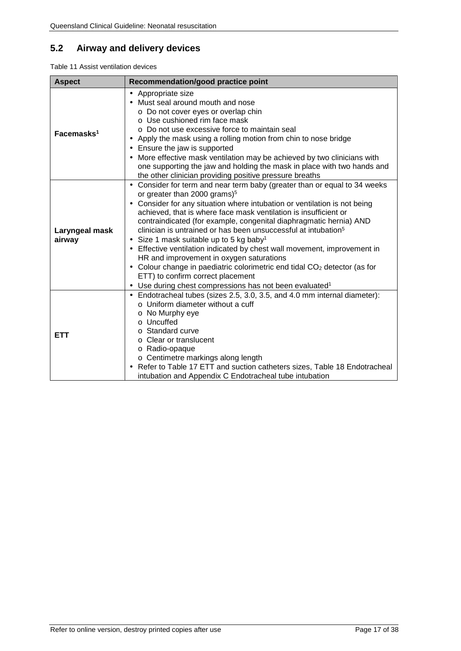## <span id="page-17-0"></span>**5.2 Airway and delivery devices**

<span id="page-17-1"></span>Table 11 Assist ventilation devices

| <b>Aspect</b>            | Recommendation/good practice point                                                                                                                                                                                                                                                                                                                                                                                                                                                                                                                                                                                                                                                                                                                                                                                                |
|--------------------------|-----------------------------------------------------------------------------------------------------------------------------------------------------------------------------------------------------------------------------------------------------------------------------------------------------------------------------------------------------------------------------------------------------------------------------------------------------------------------------------------------------------------------------------------------------------------------------------------------------------------------------------------------------------------------------------------------------------------------------------------------------------------------------------------------------------------------------------|
| Facemasks <sup>1</sup>   | Appropriate size<br>٠<br>Must seal around mouth and nose<br>○ Do not cover eyes or overlap chin<br>o Use cushioned rim face mask<br>o Do not use excessive force to maintain seal<br>Apply the mask using a rolling motion from chin to nose bridge<br>Ensure the jaw is supported<br>More effective mask ventilation may be achieved by two clinicians with<br>one supporting the jaw and holding the mask in place with two hands and<br>the other clinician providing positive pressure breaths                                                                                                                                                                                                                                                                                                                                |
| Laryngeal mask<br>airway | Consider for term and near term baby (greater than or equal to 34 weeks<br>or greater than 2000 grams) <sup>5</sup><br>Consider for any situation where intubation or ventilation is not being<br>achieved, that is where face mask ventilation is insufficient or<br>contraindicated (for example, congenital diaphragmatic hernia) AND<br>clinician is untrained or has been unsuccessful at intubation <sup>5</sup><br>Size 1 mask suitable up to 5 kg baby <sup>1</sup><br>$\blacksquare$<br>Effective ventilation indicated by chest wall movement, improvement in<br>$\bullet$<br>HR and improvement in oxygen saturations<br>Colour change in paediatric colorimetric end tidal CO <sub>2</sub> detector (as for<br>ETT) to confirm correct placement<br>Use during chest compressions has not been evaluated <sup>1</sup> |
| <b>ETT</b>               | Endotracheal tubes (sizes 2.5, 3.0, 3.5, and 4.0 mm internal diameter):<br>$\circ$ Uniform diameter without a cuff<br>o No Murphy eye<br>o Uncuffed<br>o Standard curve<br>$\circ$ Clear or translucent<br>o Radio-opaque<br>o Centimetre markings along length<br>Refer to Table 17 ETT and suction catheters sizes, Table 18 Endotracheal<br>intubation and Appendix C Endotracheal tube intubation                                                                                                                                                                                                                                                                                                                                                                                                                             |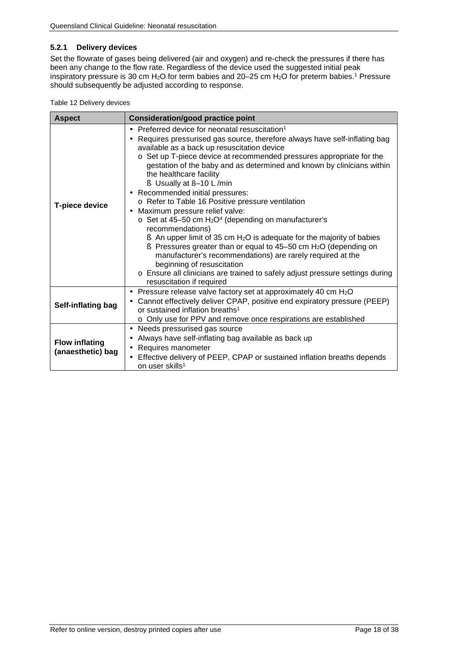#### <span id="page-18-0"></span>**5.2.1 Delivery devices**

Set the flowrate of gases being delivered (air and oxygen) and re-check the pressures if there has been any change to the flow rate. Regardless of the device used the suggested initial peak inspiratory pressure is 30 cm H<sub>2</sub>O for term babies and 20–25 cm H<sub>2</sub>O for preterm babies.<sup>1</sup> Pressure should subsequently be adjusted according to response.

<span id="page-18-1"></span>

|  |  | Table 12 Delivery devices |  |
|--|--|---------------------------|--|
|--|--|---------------------------|--|

| <b>Aspect</b>                              | <b>Consideration/good practice point</b>                                                                                                                                                                                                                                                                                                                                                                                                                                                                                                                                                                                                                                                                                                                                                                                                                                                                                                                                                                                                                  |  |  |
|--------------------------------------------|-----------------------------------------------------------------------------------------------------------------------------------------------------------------------------------------------------------------------------------------------------------------------------------------------------------------------------------------------------------------------------------------------------------------------------------------------------------------------------------------------------------------------------------------------------------------------------------------------------------------------------------------------------------------------------------------------------------------------------------------------------------------------------------------------------------------------------------------------------------------------------------------------------------------------------------------------------------------------------------------------------------------------------------------------------------|--|--|
| <b>T-piece device</b>                      | Preferred device for neonatal resuscitation <sup>1</sup><br>Requires pressurised gas source, therefore always have self-inflating bag<br>available as a back up resuscitation device<br>o Set up T-piece device at recommended pressures appropriate for the<br>gestation of the baby and as determined and known by clinicians within<br>the healthcare facility<br>$\S$ Usually at 8-10 L/min<br>Recommended initial pressures:<br>٠<br>o Refer to Table 16 Positive pressure ventilation<br>Maximum pressure relief valve:<br>$\blacksquare$<br>$\circ$ Set at 45-50 cm H <sub>2</sub> O <sup>4</sup> (depending on manufacturer's<br>recommendations)<br>$\bullet$ An upper limit of 35 cm H <sub>2</sub> O is adequate for the majority of babies<br>$\epsilon$ Pressures greater than or equal to 45-50 cm H <sub>2</sub> O (depending on<br>manufacturer's recommendations) are rarely required at the<br>beginning of resuscitation<br>o Ensure all clinicians are trained to safely adjust pressure settings during<br>resuscitation if required |  |  |
| Self-inflating bag                         | Pressure release valve factory set at approximately 40 cm H <sub>2</sub> O<br>٠<br>Cannot effectively deliver CPAP, positive end expiratory pressure (PEEP)<br>or sustained inflation breaths <sup>1</sup><br>o Only use for PPV and remove once respirations are established                                                                                                                                                                                                                                                                                                                                                                                                                                                                                                                                                                                                                                                                                                                                                                             |  |  |
| <b>Flow inflating</b><br>(anaesthetic) bag | Needs pressurised gas source<br>$\blacksquare$<br>Always have self-inflating bag available as back up<br>٠<br>Requires manometer<br>$\blacksquare$<br>Effective delivery of PEEP, CPAP or sustained inflation breaths depends<br>on user skills <sup>1</sup>                                                                                                                                                                                                                                                                                                                                                                                                                                                                                                                                                                                                                                                                                                                                                                                              |  |  |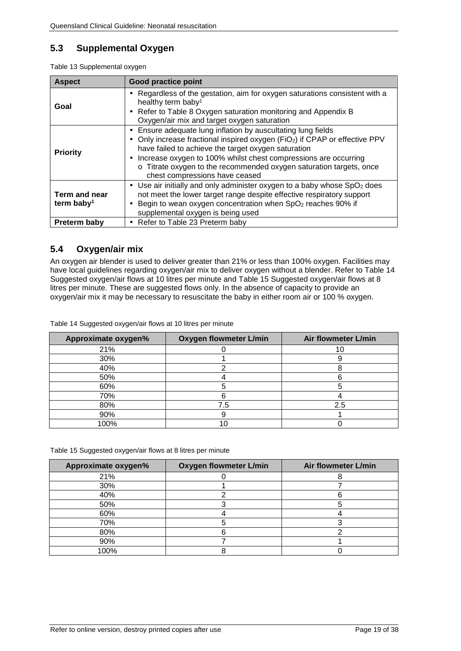### <span id="page-19-0"></span>**5.3 Supplemental Oxygen**

<span id="page-19-2"></span>

| <b>Aspect</b>                           | Good practice point                                                                                                                                                                                                                                                                                                                                                                                                             |
|-----------------------------------------|---------------------------------------------------------------------------------------------------------------------------------------------------------------------------------------------------------------------------------------------------------------------------------------------------------------------------------------------------------------------------------------------------------------------------------|
| Goal                                    | Regardless of the gestation, aim for oxygen saturations consistent with a<br>٠<br>healthy term baby <sup>1</sup><br>Refer to Table 8 Oxygen saturation monitoring and Appendix B<br>$\blacksquare$<br>Oxygen/air mix and target oxygen saturation                                                                                                                                                                               |
| <b>Priority</b>                         | Ensure adequate lung inflation by auscultating lung fields<br>$\blacksquare$<br>Only increase fractional inspired oxygen (FiO <sub>2</sub> ) if CPAP or effective PPV<br>٠<br>have failed to achieve the target oxygen saturation<br>Increase oxygen to 100% whilst chest compressions are occurring<br>$\blacksquare$<br>o Titrate oxygen to the recommended oxygen saturation targets, once<br>chest compressions have ceased |
| Term and near<br>term baby <sup>1</sup> | Use air initially and only administer oxygen to a baby whose $SpO2$ does<br>$\blacksquare$<br>not meet the lower target range despite effective respiratory support<br>Begin to wean oxygen concentration when SpO <sub>2</sub> reaches 90% if<br>supplemental oxygen is being used                                                                                                                                             |
| Preterm baby                            | Refer to Table 23 Preterm baby<br>$\blacksquare$                                                                                                                                                                                                                                                                                                                                                                                |

### <span id="page-19-1"></span>**5.4 Oxygen/air mix**

An oxygen air blender is used to deliver greater than 21% or less than 100% oxygen. Facilities may have local guidelines regarding oxygen/air mix to deliver oxygen without a blender. Refer to [Table 14](#page-19-3) [Suggested oxygen/air flows at 10 litres per minute](#page-19-3) and Table 15 [Suggested oxygen/air flows at 8](#page-19-5)  [litres per minute.](#page-19-5) These are suggested flows only. In the absence of capacity to provide an oxygen/air mix it may be necessary to resuscitate the baby in either room air or 100 % oxygen.

<span id="page-19-3"></span>Table 14 Suggested oxygen/air flows at 10 litres per minute

| Approximate oxygen% | <b>Oxygen flowmeter L/min</b> | Air flowmeter L/min |
|---------------------|-------------------------------|---------------------|
| 21%                 |                               | 10.                 |
| 30%                 |                               |                     |
| 40%                 |                               |                     |
| 50%                 |                               |                     |
| 60%                 |                               |                     |
| 70%                 |                               |                     |
| 80%                 | 7.5                           | 2.5                 |
| 90%                 |                               |                     |
| 100%                |                               |                     |

<span id="page-19-5"></span><span id="page-19-4"></span>Table 15 Suggested oxygen/air flows at 8 litres per minute

| Approximate oxygen% | <b>Oxygen flowmeter L/min</b> | Air flowmeter L/min |
|---------------------|-------------------------------|---------------------|
| 21%                 |                               |                     |
| 30%                 |                               |                     |
| 40%                 |                               |                     |
| 50%                 |                               |                     |
| 60%                 |                               |                     |
| 70%                 |                               |                     |
| 80%                 |                               |                     |
| 90%                 |                               |                     |
| 100%                |                               |                     |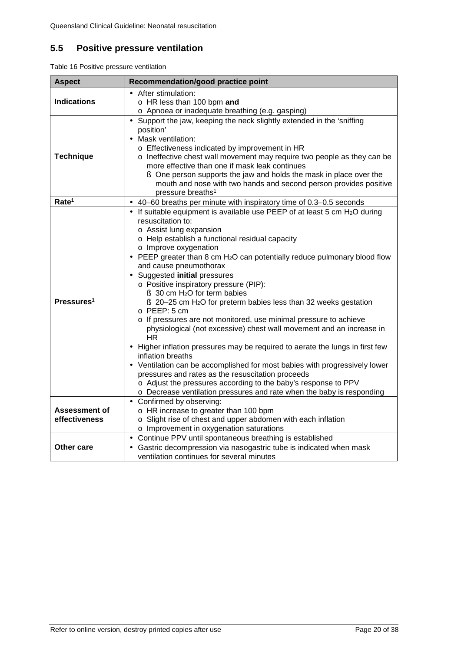## <span id="page-20-0"></span>**5.5 Positive pressure ventilation**

<span id="page-20-1"></span>Table 16 Positive pressure ventilation

| <b>Aspect</b>                         | Recommendation/good practice point                                                                                                                                                                                                                                                                                                                                                                                                                                                                                                                                                                                                                                                                                                                                                                                                                                                                                                                                                                                                                                                                                |
|---------------------------------------|-------------------------------------------------------------------------------------------------------------------------------------------------------------------------------------------------------------------------------------------------------------------------------------------------------------------------------------------------------------------------------------------------------------------------------------------------------------------------------------------------------------------------------------------------------------------------------------------------------------------------------------------------------------------------------------------------------------------------------------------------------------------------------------------------------------------------------------------------------------------------------------------------------------------------------------------------------------------------------------------------------------------------------------------------------------------------------------------------------------------|
| <b>Indications</b>                    | · After stimulation:<br>o HR less than 100 bpm and<br>o Apnoea or inadequate breathing (e.g. gasping)                                                                                                                                                                                                                                                                                                                                                                                                                                                                                                                                                                                                                                                                                                                                                                                                                                                                                                                                                                                                             |
| <b>Technique</b>                      | Support the jaw, keeping the neck slightly extended in the 'sniffing<br>$\blacksquare$<br>position'<br>Mask ventilation:<br>$\blacksquare$<br>o Effectiveness indicated by improvement in HR<br>o Ineffective chest wall movement may require two people as they can be<br>more effective than one if mask leak continues<br><b>§</b> One person supports the jaw and holds the mask in place over the<br>mouth and nose with two hands and second person provides positive<br>pressure breaths <sup>1</sup>                                                                                                                                                                                                                                                                                                                                                                                                                                                                                                                                                                                                      |
| Rate <sup>1</sup>                     | 40-60 breaths per minute with inspiratory time of 0.3-0.5 seconds                                                                                                                                                                                                                                                                                                                                                                                                                                                                                                                                                                                                                                                                                                                                                                                                                                                                                                                                                                                                                                                 |
| Pressures <sup>1</sup>                | If suitable equipment is available use PEEP of at least 5 cm H <sub>2</sub> O during<br>resuscitation to:<br>o Assist lung expansion<br>o Help establish a functional residual capacity<br>o Improve oxygenation<br>PEEP greater than 8 cm H <sub>2</sub> O can potentially reduce pulmonary blood flow<br>$\blacksquare$<br>and cause pneumothorax<br>Suggested initial pressures<br>o Positive inspiratory pressure (PIP):<br>$\S$ 30 cm H <sub>2</sub> O for term babies<br>$\S$ 20–25 cm H <sub>2</sub> O for preterm babies less than 32 weeks gestation<br>o PEEP: 5 cm<br>o If pressures are not monitored, use minimal pressure to achieve<br>physiological (not excessive) chest wall movement and an increase in<br>HR.<br>Higher inflation pressures may be required to aerate the lungs in first few<br>inflation breaths<br>Ventilation can be accomplished for most babies with progressively lower<br>pressures and rates as the resuscitation proceeds<br>o Adjust the pressures according to the baby's response to PPV<br>o Decrease ventilation pressures and rate when the baby is responding |
| <b>Assessment of</b><br>effectiveness | Confirmed by observing:<br>o HR increase to greater than 100 bpm<br>o Slight rise of chest and upper abdomen with each inflation<br>o Improvement in oxygenation saturations                                                                                                                                                                                                                                                                                                                                                                                                                                                                                                                                                                                                                                                                                                                                                                                                                                                                                                                                      |
| Other care                            | Continue PPV until spontaneous breathing is established<br>$\blacksquare$<br>Gastric decompression via nasogastric tube is indicated when mask<br>ventilation continues for several minutes                                                                                                                                                                                                                                                                                                                                                                                                                                                                                                                                                                                                                                                                                                                                                                                                                                                                                                                       |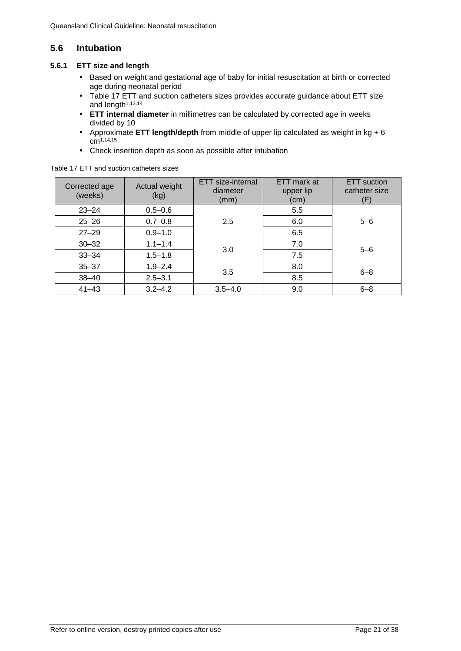## <span id="page-21-0"></span>**5.6 Intubation**

#### <span id="page-21-1"></span>**5.6.1 ETT size and length**

- Based on weight and gestational age of baby for initial resuscitation at birth or corrected  $\mathcal{L}^{\pm}$ age during neonatal period
- Table 17 [ETT and suction catheters sizes](#page-21-2) provides accurate guidance about ETT size ÷. and length<sup>1,[13,](#page-34-5)[14](#page-34-6)</sup>
- **ETT internal diameter** in millimetres can be calculated by corrected age in weeks  $\mathcal{L}^{\mathcal{L}}$ divided by 10
- Approximate **ETT length/depth** from middle of upper lip calculated as weight in kg + 6 c[m1,](#page-34-1)[14,](#page-34-6)[15](#page-34-7)
- Check insertion depth as soon as possible after intubation

| Corrected age<br>(weeks) | Actual weight<br>(kg) | ETT size-internal<br>diameter<br>(mm) | ETT mark at<br>upper lip<br>(cm) | <b>ETT</b> suction<br>catheter size<br>F |
|--------------------------|-----------------------|---------------------------------------|----------------------------------|------------------------------------------|
| $23 - 24$                | $0.5 - 0.6$           |                                       | 5.5                              |                                          |
| $25 - 26$                | $0.7 - 0.8$           | 2.5                                   | 6.0                              | $5 - 6$                                  |
| $27 - 29$                | $0.9 - 1.0$           |                                       | 6.5                              |                                          |
| $30 - 32$                | $1.1 - 1.4$           | 3.0                                   | 7.0                              | $5 - 6$                                  |
| $33 - 34$                | $1.5 - 1.8$           |                                       | 7.5                              |                                          |
| $35 - 37$                | $1.9 - 2.4$           | 3.5                                   | 8.0                              | $6 - 8$                                  |
| $38 - 40$                | $2.5 - 3.1$           |                                       | 8.5                              |                                          |
| $41 - 43$                | $3.2 - 4.2$           | $3.5 - 4.0$                           | 9.0                              | $6 - 8$                                  |

<span id="page-21-2"></span>Table 17 ETT and suction catheters sizes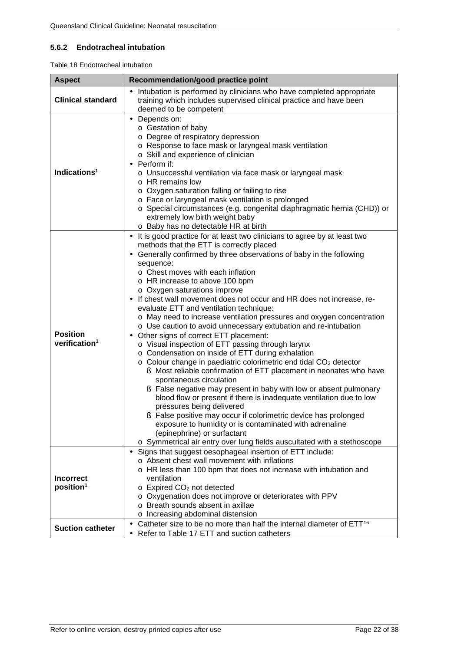#### <span id="page-22-0"></span>**5.6.2 Endotracheal intubation**

<span id="page-22-1"></span>Table 18 Endotracheal intubation

| <b>Aspect</b>                                | Recommendation/good practice point                                                                                                                                                                                                                                                                                                                                                                                                                                                                                                                                                                                                                                                                                                                                                                                                                                                                                                                                                                                                                                                                                                                                                                                                                                                                                                                   |  |  |
|----------------------------------------------|------------------------------------------------------------------------------------------------------------------------------------------------------------------------------------------------------------------------------------------------------------------------------------------------------------------------------------------------------------------------------------------------------------------------------------------------------------------------------------------------------------------------------------------------------------------------------------------------------------------------------------------------------------------------------------------------------------------------------------------------------------------------------------------------------------------------------------------------------------------------------------------------------------------------------------------------------------------------------------------------------------------------------------------------------------------------------------------------------------------------------------------------------------------------------------------------------------------------------------------------------------------------------------------------------------------------------------------------------|--|--|
| <b>Clinical standard</b>                     | Intubation is performed by clinicians who have completed appropriate<br>training which includes supervised clinical practice and have been<br>deemed to be competent                                                                                                                                                                                                                                                                                                                                                                                                                                                                                                                                                                                                                                                                                                                                                                                                                                                                                                                                                                                                                                                                                                                                                                                 |  |  |
| Indications <sup>1</sup>                     | Depends on:<br>o Gestation of baby<br>o Degree of respiratory depression<br>o Response to face mask or laryngeal mask ventilation<br>o Skill and experience of clinician<br>Perform if:<br>o Unsuccessful ventilation via face mask or laryngeal mask<br>$\circ$ HR remains low<br>o Oxygen saturation falling or failing to rise<br>o Face or laryngeal mask ventilation is prolonged<br>o Special circumstances (e.g. congenital diaphragmatic hernia (CHD)) or<br>extremely low birth weight baby<br>o Baby has no detectable HR at birth                                                                                                                                                                                                                                                                                                                                                                                                                                                                                                                                                                                                                                                                                                                                                                                                         |  |  |
| <b>Position</b><br>verification <sup>1</sup> | It is good practice for at least two clinicians to agree by at least two<br>$\blacksquare$<br>methods that the ETT is correctly placed<br>Generally confirmed by three observations of baby in the following<br>sequence:<br>o Chest moves with each inflation<br>o HR increase to above 100 bpm<br>o Oxygen saturations improve<br>If chest wall movement does not occur and HR does not increase, re-<br>evaluate ETT and ventilation technique:<br>o May need to increase ventilation pressures and oxygen concentration<br>o Use caution to avoid unnecessary extubation and re-intubation<br>Other signs of correct ETT placement:<br>o Visual inspection of ETT passing through larynx<br>o Condensation on inside of ETT during exhalation<br>o Colour change in paediatric colorimetric end tidal CO <sub>2</sub> detector<br>S Most reliable confirmation of ETT placement in neonates who have<br>spontaneous circulation<br>S False negative may present in baby with low or absent pulmonary<br>blood flow or present if there is inadequate ventilation due to low<br>pressures being delivered<br>S False positive may occur if colorimetric device has prolonged<br>exposure to humidity or is contaminated with adrenaline<br>(epinephrine) or surfactant<br>o Symmetrical air entry over lung fields auscultated with a stethoscope |  |  |
| <b>Incorrect</b><br>position <sup>1</sup>    | Signs that suggest oesophageal insertion of ETT include:<br>o Absent chest wall movement with inflations<br>o HR less than 100 bpm that does not increase with intubation and<br>ventilation<br>o Expired CO <sub>2</sub> not detected<br>o Oxygenation does not improve or deteriorates with PPV<br>o Breath sounds absent in axillae<br>o Increasing abdominal distension                                                                                                                                                                                                                                                                                                                                                                                                                                                                                                                                                                                                                                                                                                                                                                                                                                                                                                                                                                          |  |  |
| <b>Suction catheter</b>                      | Catheter size to be no more than half the internal diameter of ETT <sup>16</sup><br>$\blacksquare$<br>Refer to Table 17 ETT and suction catheters                                                                                                                                                                                                                                                                                                                                                                                                                                                                                                                                                                                                                                                                                                                                                                                                                                                                                                                                                                                                                                                                                                                                                                                                    |  |  |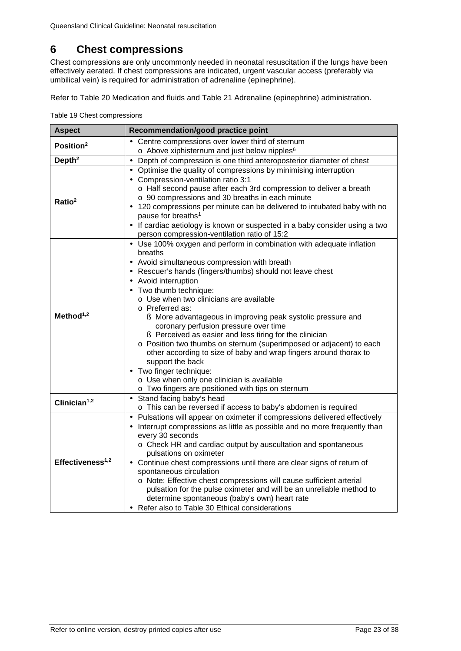## <span id="page-23-0"></span>**6 Chest compressions**

Chest compressions are only uncommonly needed in neonatal resuscitation if the lungs have been effectively aerated. If chest compressions are indicated, urgent vascular access (preferably via umbilical vein) is required for administration of adrenaline (epinephrine).

<span id="page-23-1"></span>Refer to Table 20 [Medication and fluids](#page-24-1) and Table 21 [Adrenaline \(epinephrine\) administration.](#page-25-1)

Table 19 Chest compressions

| <b>Aspect</b>                | Recommendation/good practice point                                                                                                                                                                                                                                                                                                                                                                                                                                                                                                                                                                                                                                                                                                                                                        |  |  |
|------------------------------|-------------------------------------------------------------------------------------------------------------------------------------------------------------------------------------------------------------------------------------------------------------------------------------------------------------------------------------------------------------------------------------------------------------------------------------------------------------------------------------------------------------------------------------------------------------------------------------------------------------------------------------------------------------------------------------------------------------------------------------------------------------------------------------------|--|--|
| Position <sup>2</sup>        | Centre compressions over lower third of sternum<br>o Above xiphisternum and just below nipples <sup>6</sup>                                                                                                                                                                                                                                                                                                                                                                                                                                                                                                                                                                                                                                                                               |  |  |
| Depth <sup>2</sup>           | Depth of compression is one third anteroposterior diameter of chest                                                                                                                                                                                                                                                                                                                                                                                                                                                                                                                                                                                                                                                                                                                       |  |  |
| Ratio <sup>2</sup>           | Optimise the quality of compressions by minimising interruption<br>l,<br>Compression-ventilation ratio 3:1<br>o Half second pause after each 3rd compression to deliver a breath<br>o 90 compressions and 30 breaths in each minute<br>120 compressions per minute can be delivered to intubated baby with no<br>pause for breaths <sup>1</sup><br>If cardiac aetiology is known or suspected in a baby consider using a two<br>person compression-ventilation ratio of 15:2                                                                                                                                                                                                                                                                                                              |  |  |
| Method $1,2$                 | Use 100% oxygen and perform in combination with adequate inflation<br>breaths<br>Avoid simultaneous compression with breath<br>Rescuer's hands (fingers/thumbs) should not leave chest<br>$\blacksquare$<br>Avoid interruption<br>Two thumb technique:<br>o Use when two clinicians are available<br>o Preferred as:<br>S More advantageous in improving peak systolic pressure and<br>coronary perfusion pressure over time<br>S Perceived as easier and less tiring for the clinician<br>o Position two thumbs on sternum (superimposed or adjacent) to each<br>other according to size of baby and wrap fingers around thorax to<br>support the back<br>Two finger technique:<br>ä,<br>o Use when only one clinician is available<br>o Two fingers are positioned with tips on sternum |  |  |
| Clinician <sup>1,2</sup>     | Stand facing baby's head<br>ä,<br>o This can be reversed if access to baby's abdomen is required                                                                                                                                                                                                                                                                                                                                                                                                                                                                                                                                                                                                                                                                                          |  |  |
| Effectiveness <sup>1,2</sup> | Pulsations will appear on oximeter if compressions delivered effectively<br>$\blacksquare$<br>Interrupt compressions as little as possible and no more frequently than<br>every 30 seconds<br>o Check HR and cardiac output by auscultation and spontaneous<br>pulsations on oximeter<br>Continue chest compressions until there are clear signs of return of<br>spontaneous circulation<br>o Note: Effective chest compressions will cause sufficient arterial<br>pulsation for the pulse oximeter and will be an unreliable method to<br>determine spontaneous (baby's own) heart rate<br>Refer also to Table 30 Ethical considerations                                                                                                                                                 |  |  |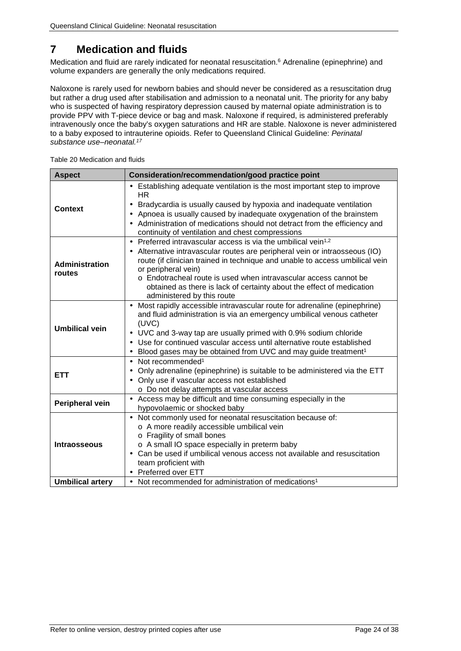## <span id="page-24-0"></span>**7 Medication and fluids**

Medication and fluid are rarely indicated for neonatal resuscitation. <sup>6</sup> Adrenaline (epinephrine) and volume expanders are generally the only medications required.

Naloxone is rarely used for newborn babies and should never be considered as a resuscitation drug but rather a drug used after stabilisation and admission to a neonatal unit. The priority for any baby who is suspected of having respiratory depression caused by maternal opiate administration is to provide PPV with T-piece device or bag and mask. Naloxone if required, is administered preferably intravenously once the baby's oxygen saturations and HR are stable. Naloxone is never administered to a baby exposed to intrauterine opioids. Refer to Queensland Clinical Guideline: *Perinatal substance use–neonatal. 17*

| <b>Aspect</b>                   | Consideration/recommendation/good practice point                                                                                                                                                                                                                                                                                                                                                                                       |  |  |
|---------------------------------|----------------------------------------------------------------------------------------------------------------------------------------------------------------------------------------------------------------------------------------------------------------------------------------------------------------------------------------------------------------------------------------------------------------------------------------|--|--|
| <b>Context</b>                  | Establishing adequate ventilation is the most important step to improve<br>HR.<br>Bradycardia is usually caused by hypoxia and inadequate ventilation<br>Apnoea is usually caused by inadequate oxygenation of the brainstem<br>٠<br>Administration of medications should not detract from the efficiency and<br>ä,<br>continuity of ventilation and chest compressions                                                                |  |  |
| <b>Administration</b><br>routes | Preferred intravascular access is via the umbilical vein <sup>1,2</sup><br>Alternative intravascular routes are peripheral vein or intraosseous (IO)<br>route (if clinician trained in technique and unable to access umbilical vein<br>or peripheral vein)<br>o Endotracheal route is used when intravascular access cannot be<br>obtained as there is lack of certainty about the effect of medication<br>administered by this route |  |  |
| <b>Umbilical vein</b>           | Most rapidly accessible intravascular route for adrenaline (epinephrine)<br>and fluid administration is via an emergency umbilical venous catheter<br>(UVC)<br>UVC and 3-way tap are usually primed with 0.9% sodium chloride<br>Use for continued vascular access until alternative route established<br>Blood gases may be obtained from UVC and may guide treatment <sup>1</sup>                                                    |  |  |
| <b>ETT</b>                      | Not recommended <sup>1</sup><br>$\blacksquare$<br>Only adrenaline (epinephrine) is suitable to be administered via the ETT<br>$\blacksquare$<br>Only use if vascular access not established<br>o Do not delay attempts at vascular access                                                                                                                                                                                              |  |  |
| Peripheral vein                 | Access may be difficult and time consuming especially in the<br>×,<br>hypovolaemic or shocked baby                                                                                                                                                                                                                                                                                                                                     |  |  |
| <b>Intraosseous</b>             | Not commonly used for neonatal resuscitation because of:<br>o A more readily accessible umbilical vein<br>o Fragility of small bones<br>o A small IO space especially in preterm baby<br>Can be used if umbilical venous access not available and resuscitation<br>ä,<br>team proficient with<br><b>Preferred over ETT</b><br>ä,                                                                                                       |  |  |
| <b>Umbilical artery</b>         | Not recommended for administration of medications <sup>1</sup>                                                                                                                                                                                                                                                                                                                                                                         |  |  |

<span id="page-24-1"></span>Table 20 Medication and fluids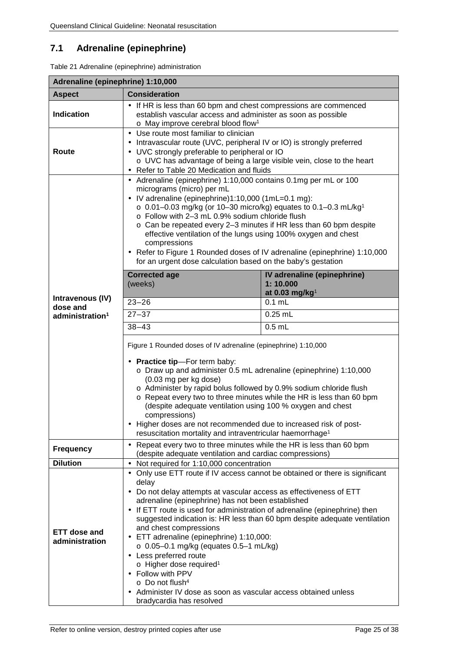## <span id="page-25-0"></span>**7.1 Adrenaline (epinephrine)**

<span id="page-25-1"></span>Table 21 Adrenaline (epinephrine) administration

<span id="page-25-2"></span>

| Adrenaline (epinephrine) 1:10,000                           |                                                                                                                                                                                                                                                                                                                                                                                                                                                                                                                                                                                                                                                                                                                                                                                                                                                                                                                                                    |  |  |  |
|-------------------------------------------------------------|----------------------------------------------------------------------------------------------------------------------------------------------------------------------------------------------------------------------------------------------------------------------------------------------------------------------------------------------------------------------------------------------------------------------------------------------------------------------------------------------------------------------------------------------------------------------------------------------------------------------------------------------------------------------------------------------------------------------------------------------------------------------------------------------------------------------------------------------------------------------------------------------------------------------------------------------------|--|--|--|
| <b>Aspect</b>                                               | <b>Consideration</b>                                                                                                                                                                                                                                                                                                                                                                                                                                                                                                                                                                                                                                                                                                                                                                                                                                                                                                                               |  |  |  |
| <b>Indication</b>                                           | If HR is less than 60 bpm and chest compressions are commenced<br>establish vascular access and administer as soon as possible<br>o May improve cerebral blood flow <sup>1</sup>                                                                                                                                                                                                                                                                                                                                                                                                                                                                                                                                                                                                                                                                                                                                                                   |  |  |  |
| Route                                                       | Use route most familiar to clinician<br>Intravascular route (UVC, peripheral IV or IO) is strongly preferred<br>UVC strongly preferable to peripheral or IO<br>o UVC has advantage of being a large visible vein, close to the heart<br>Refer to Table 20 Medication and fluids                                                                                                                                                                                                                                                                                                                                                                                                                                                                                                                                                                                                                                                                    |  |  |  |
| Intravenous (IV)<br>dose and<br>administration <sup>1</sup> | Adrenaline (epinephrine) 1:10,000 contains 0.1mg per mL or 100<br>micrograms (micro) per mL<br>IV adrenaline (epinephrine)1:10,000 (1mL=0.1 mg):<br>$\circ$ 0.01-0.03 mg/kg (or 10-30 micro/kg) equates to 0.1-0.3 mL/kg <sup>1</sup><br>o Follow with 2-3 mL 0.9% sodium chloride flush<br>o Can be repeated every 2-3 minutes if HR less than 60 bpm despite<br>effective ventilation of the lungs using 100% oxygen and chest<br>compressions<br>Refer to Figure 1 Rounded doses of IV adrenaline (epinephrine) 1:10,000<br>for an urgent dose calculation based on the baby's gestation<br><b>Corrected age</b><br>IV adrenaline (epinephrine)<br>1:10.000<br>(weeks)<br>at 0.03 mg/kg $1$<br>$23 - 26$<br>$0.1$ mL<br>$27 - 37$<br>$0.25$ mL<br>$38 - 43$<br>$0.5$ mL<br>Figure 1 Rounded doses of IV adrenaline (epinephrine) 1:10,000<br>- Practice tip-For term baby:<br>o Draw up and administer 0.5 mL adrenaline (epinephrine) 1:10,000 |  |  |  |
|                                                             | (0.03 mg per kg dose)<br>o Administer by rapid bolus followed by 0.9% sodium chloride flush<br>o Repeat every two to three minutes while the HR is less than 60 bpm<br>(despite adequate ventilation using 100 % oxygen and chest<br>compressions)<br>Higher doses are not recommended due to increased risk of post-<br>resuscitation mortality and intraventricular haemorrhage <sup>1</sup>                                                                                                                                                                                                                                                                                                                                                                                                                                                                                                                                                     |  |  |  |
| <b>Frequency</b>                                            | Repeat every two to three minutes while the HR is less than 60 bpm<br>¥.<br>(despite adequate ventilation and cardiac compressions)                                                                                                                                                                                                                                                                                                                                                                                                                                                                                                                                                                                                                                                                                                                                                                                                                |  |  |  |
| <b>Dilution</b>                                             | Not required for 1:10,000 concentration                                                                                                                                                                                                                                                                                                                                                                                                                                                                                                                                                                                                                                                                                                                                                                                                                                                                                                            |  |  |  |
| <b>ETT dose and</b><br>administration                       | Only use ETT route if IV access cannot be obtained or there is significant<br>delay<br>Do not delay attempts at vascular access as effectiveness of ETT<br>adrenaline (epinephrine) has not been established<br>If ETT route is used for administration of adrenaline (epinephrine) then<br>suggested indication is: HR less than 60 bpm despite adequate ventilation<br>and chest compressions<br>ETT adrenaline (epinephrine) 1:10,000:<br>$\sim$<br>$\circ$ 0.05-0.1 mg/kg (equates 0.5-1 mL/kg)<br>Less preferred route<br>o Higher dose required <sup>1</sup><br>- Follow with PPV<br>o Do not flush <sup>4</sup><br>Administer IV dose as soon as vascular access obtained unless<br>bradycardia has resolved                                                                                                                                                                                                                                |  |  |  |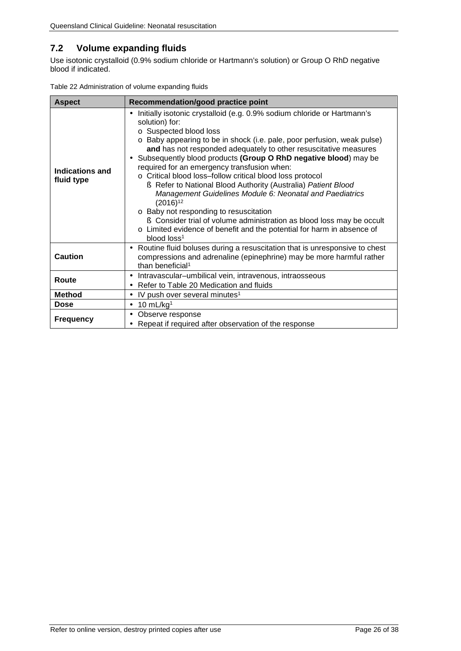### <span id="page-26-0"></span>**7.2 Volume expanding fluids**

Use isotonic crystalloid (0.9% sodium chloride or Hartmann's solution) or Group O RhD negative blood if indicated.

<span id="page-26-1"></span>

|  | Table 22 Administration of volume expanding fluids |  |  |
|--|----------------------------------------------------|--|--|
|  |                                                    |  |  |

| <b>Aspect</b>                 | Recommendation/good practice point                                                                                                                                                                                                                                                                                                                                                                                                                                                                                                                                                                                                                                                                                                                                                                                      |  |
|-------------------------------|-------------------------------------------------------------------------------------------------------------------------------------------------------------------------------------------------------------------------------------------------------------------------------------------------------------------------------------------------------------------------------------------------------------------------------------------------------------------------------------------------------------------------------------------------------------------------------------------------------------------------------------------------------------------------------------------------------------------------------------------------------------------------------------------------------------------------|--|
| Indications and<br>fluid type | Initially isotonic crystalloid (e.g. 0.9% sodium chloride or Hartmann's<br>solution) for:<br>o Suspected blood loss<br>o Baby appearing to be in shock (i.e. pale, poor perfusion, weak pulse)<br>and has not responded adequately to other resuscitative measures<br>Subsequently blood products (Group O RhD negative blood) may be<br>required for an emergency transfusion when:<br>o Critical blood loss-follow critical blood loss protocol<br>§ Refer to National Blood Authority (Australia) Patient Blood<br>Management Guidelines Module 6: Neonatal and Paediatrics<br>$(2016)^{12}$<br>o Baby not responding to resuscitation<br>S Consider trial of volume administration as blood loss may be occult<br>o Limited evidence of benefit and the potential for harm in absence of<br>blood loss <sup>1</sup> |  |
| <b>Caution</b>                | Routine fluid boluses during a resuscitation that is unresponsive to chest<br>٠<br>compressions and adrenaline (epinephrine) may be more harmful rather<br>than beneficial <sup>1</sup>                                                                                                                                                                                                                                                                                                                                                                                                                                                                                                                                                                                                                                 |  |
| Route                         | Intravascular-umbilical vein, intravenous, intraosseous<br>Refer to Table 20 Medication and fluids                                                                                                                                                                                                                                                                                                                                                                                                                                                                                                                                                                                                                                                                                                                      |  |
| <b>Method</b>                 | IV push over several minutes <sup>1</sup><br>$\blacksquare$                                                                                                                                                                                                                                                                                                                                                                                                                                                                                                                                                                                                                                                                                                                                                             |  |
| <b>Dose</b>                   | 10 $mL/kg1$<br>$\blacksquare$                                                                                                                                                                                                                                                                                                                                                                                                                                                                                                                                                                                                                                                                                                                                                                                           |  |
| <b>Frequency</b>              | Observe response<br>٠<br>Repeat if required after observation of the response                                                                                                                                                                                                                                                                                                                                                                                                                                                                                                                                                                                                                                                                                                                                           |  |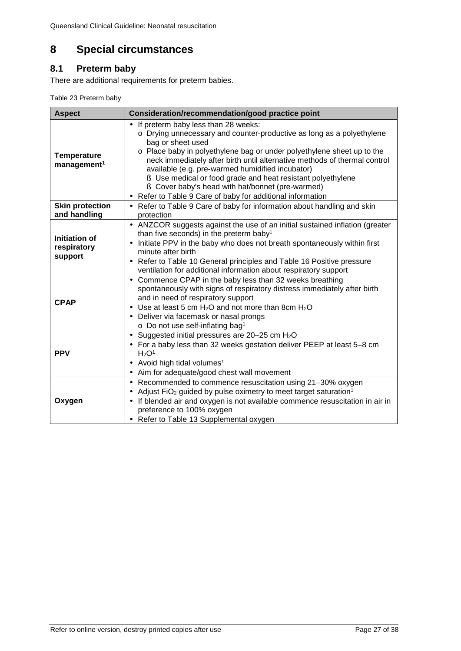## <span id="page-27-0"></span>**8 Special circumstances**

## <span id="page-27-1"></span>**8.1 Preterm baby**

<span id="page-27-2"></span>There are additional requirements for preterm babies.

| Table 23 Preterm baby |  |  |
|-----------------------|--|--|
|-----------------------|--|--|

| <b>Aspect</b>                                  | Consideration/recommendation/good practice point                                                                                                                                                                                                                                                                                                                                                                                                                                                                                  |  |  |
|------------------------------------------------|-----------------------------------------------------------------------------------------------------------------------------------------------------------------------------------------------------------------------------------------------------------------------------------------------------------------------------------------------------------------------------------------------------------------------------------------------------------------------------------------------------------------------------------|--|--|
| <b>Temperature</b><br>management <sup>1</sup>  | If preterm baby less than 28 weeks:<br>ä,<br>o Drying unnecessary and counter-productive as long as a polyethylene<br>bag or sheet used<br>o Place baby in polyethylene bag or under polyethylene sheet up to the<br>neck immediately after birth until alternative methods of thermal control<br>available (e.g. pre-warmed humidified incubator)<br>S Use medical or food grade and heat resistant polyethylene<br>S Cover baby's head with hat/bonnet (pre-warmed)<br>Refer to Table 9 Care of baby for additional information |  |  |
| <b>Skin protection</b><br>and handling         | Refer to Table 9 Care of baby for information about handling and skin<br>protection                                                                                                                                                                                                                                                                                                                                                                                                                                               |  |  |
| <b>Initiation of</b><br>respiratory<br>support | ANZCOR suggests against the use of an initial sustained inflation (greater<br>than five seconds) in the preterm baby <sup>1</sup><br>Initiate PPV in the baby who does not breath spontaneously within first<br>minute after birth<br>Refer to Table 10 General principles and Table 16 Positive pressure<br>ventilation for additional information about respiratory support                                                                                                                                                     |  |  |
| <b>CPAP</b>                                    | Commence CPAP in the baby less than 32 weeks breathing<br>spontaneously with signs of respiratory distress immediately after birth<br>and in need of respiratory support<br>Use at least 5 cm $H_2O$ and not more than 8cm $H_2O$<br>Deliver via facemask or nasal prongs<br>٠<br>$\circ$ Do not use self-inflating bag <sup>1</sup>                                                                                                                                                                                              |  |  |
| <b>PPV</b>                                     | Suggested initial pressures are 20-25 cm H <sub>2</sub> O<br>$\blacksquare$<br>For a baby less than 32 weeks gestation deliver PEEP at least 5-8 cm<br>H <sub>2</sub> O <sup>1</sup><br>Avoid high tidal volumes <sup>1</sup><br>Aim for adequate/good chest wall movement<br>$\blacksquare$                                                                                                                                                                                                                                      |  |  |
| Oxygen                                         | Recommended to commence resuscitation using 21-30% oxygen<br>¥,<br>Adjust FiO <sub>2</sub> guided by pulse oximetry to meet target saturation <sup>1</sup><br>If blended air and oxygen is not available commence resuscitation in air in<br>preference to 100% oxygen<br>Refer to Table 13 Supplemental oxygen                                                                                                                                                                                                                   |  |  |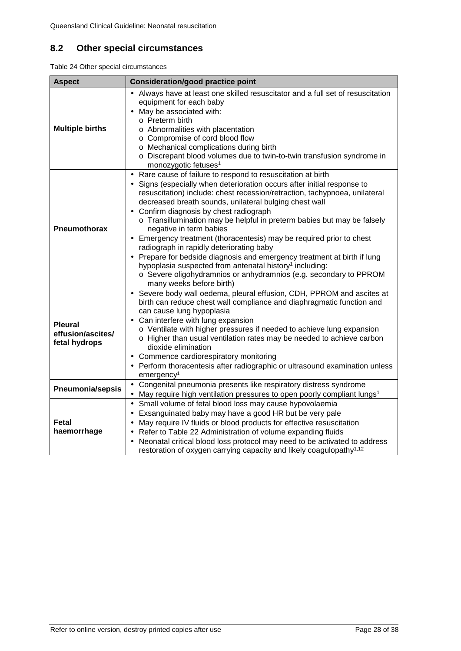## <span id="page-28-0"></span>**8.2 Other special circumstances**

<span id="page-28-1"></span>Table 24 Other special circumstances

| <b>Aspect</b>                                        | <b>Consideration/good practice point</b>                                                                                                                                                                                                                                                                                                                                                                                                                                                                                                                                                                                                                                                                                                                                                             |
|------------------------------------------------------|------------------------------------------------------------------------------------------------------------------------------------------------------------------------------------------------------------------------------------------------------------------------------------------------------------------------------------------------------------------------------------------------------------------------------------------------------------------------------------------------------------------------------------------------------------------------------------------------------------------------------------------------------------------------------------------------------------------------------------------------------------------------------------------------------|
| <b>Multiple births</b>                               | Always have at least one skilled resuscitator and a full set of resuscitation<br>equipment for each baby<br>May be associated with:<br>o Preterm birth<br>o Abnormalities with placentation<br>o Compromise of cord blood flow<br>o Mechanical complications during birth<br>o Discrepant blood volumes due to twin-to-twin transfusion syndrome in<br>monozygotic fetuses <sup>1</sup>                                                                                                                                                                                                                                                                                                                                                                                                              |
| <b>Pneumothorax</b>                                  | Rare cause of failure to respond to resuscitation at birth<br>×,<br>Signs (especially when deterioration occurs after initial response to<br>resuscitation) include: chest recession/retraction, tachypnoea, unilateral<br>decreased breath sounds, unilateral bulging chest wall<br>Confirm diagnosis by chest radiograph<br>o Transillumination may be helpful in preterm babies but may be falsely<br>negative in term babies<br>Emergency treatment (thoracentesis) may be required prior to chest<br>radiograph in rapidly deteriorating baby<br>Prepare for bedside diagnosis and emergency treatment at birth if lung<br>hypoplasia suspected from antenatal history <sup>1</sup> including:<br>o Severe oligohydramnios or anhydramnios (e.g. secondary to PPROM<br>many weeks before birth) |
| <b>Pleural</b><br>effusion/ascites/<br>fetal hydrops | Severe body wall oedema, pleural effusion, CDH, PPROM and ascites at<br>birth can reduce chest wall compliance and diaphragmatic function and<br>can cause lung hypoplasia<br>Can interfere with lung expansion<br>o Ventilate with higher pressures if needed to achieve lung expansion<br>o Higher than usual ventilation rates may be needed to achieve carbon<br>dioxide elimination<br>Commence cardiorespiratory monitoring<br>Perform thoracentesis after radiographic or ultrasound examination unless<br>emergency <sup>1</sup>                                                                                                                                                                                                                                                             |
| Pneumonia/sepsis                                     | Congenital pneumonia presents like respiratory distress syndrome<br>May require high ventilation pressures to open poorly compliant lungs <sup>1</sup>                                                                                                                                                                                                                                                                                                                                                                                                                                                                                                                                                                                                                                               |
| <b>Fetal</b><br>haemorrhage                          | Small volume of fetal blood loss may cause hypovolaemia<br>$\blacksquare$<br>Exsanguinated baby may have a good HR but be very pale<br>May require IV fluids or blood products for effective resuscitation<br>Refer to Table 22 Administration of volume expanding fluids<br>Neonatal critical blood loss protocol may need to be activated to address<br>restoration of oxygen carrying capacity and likely coagulopathy <sup>1,12</sup>                                                                                                                                                                                                                                                                                                                                                            |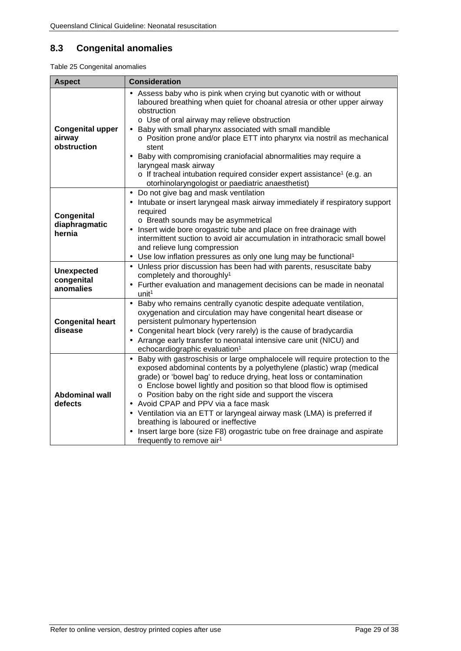## <span id="page-29-0"></span>**8.3 Congenital anomalies**

<span id="page-29-1"></span>Table 25 Congenital anomalies

| <b>Aspect</b>                                    | <b>Consideration</b>                                                                                                                                                                                                                                                                                                                                                                                                                                                                                                                                                                                                                        |
|--------------------------------------------------|---------------------------------------------------------------------------------------------------------------------------------------------------------------------------------------------------------------------------------------------------------------------------------------------------------------------------------------------------------------------------------------------------------------------------------------------------------------------------------------------------------------------------------------------------------------------------------------------------------------------------------------------|
| <b>Congenital upper</b><br>airway<br>obstruction | Assess baby who is pink when crying but cyanotic with or without<br>laboured breathing when quiet for choanal atresia or other upper airway<br>obstruction<br>o Use of oral airway may relieve obstruction<br>Baby with small pharynx associated with small mandible<br>o Position prone and/or place ETT into pharynx via nostril as mechanical<br>stent<br>Baby with compromising craniofacial abnormalities may require a<br>laryngeal mask airway<br>o If tracheal intubation required consider expert assistance <sup>1</sup> (e.g. an<br>otorhinolaryngologist or paediatric anaesthetist)                                            |
| Congenital<br>diaphragmatic<br>hernia            | Do not give bag and mask ventilation<br>Intubate or insert laryngeal mask airway immediately if respiratory support<br>required<br>o Breath sounds may be asymmetrical<br>Insert wide bore orogastric tube and place on free drainage with<br>intermittent suction to avoid air accumulation in intrathoracic small bowel<br>and relieve lung compression<br>Use low inflation pressures as only one lung may be functional <sup>1</sup>                                                                                                                                                                                                    |
| <b>Unexpected</b><br>congenital<br>anomalies     | Unless prior discussion has been had with parents, resuscitate baby<br>×,<br>completely and thoroughly <sup>1</sup><br>Further evaluation and management decisions can be made in neonatal<br>unit <sup>1</sup>                                                                                                                                                                                                                                                                                                                                                                                                                             |
| <b>Congenital heart</b><br>disease               | Baby who remains centrally cyanotic despite adequate ventilation,<br>$\blacksquare$<br>oxygenation and circulation may have congenital heart disease or<br>persistent pulmonary hypertension<br>Congenital heart block (very rarely) is the cause of bradycardia<br>Arrange early transfer to neonatal intensive care unit (NICU) and<br>echocardiographic evaluation <sup>1</sup>                                                                                                                                                                                                                                                          |
| <b>Abdominal wall</b><br>defects                 | Baby with gastroschisis or large omphalocele will require protection to the<br>exposed abdominal contents by a polyethylene (plastic) wrap (medical<br>grade) or 'bowel bag' to reduce drying, heat loss or contamination<br>o Enclose bowel lightly and position so that blood flow is optimised<br>o Position baby on the right side and support the viscera<br>Avoid CPAP and PPV via a face mask<br>Ventilation via an ETT or laryngeal airway mask (LMA) is preferred if<br>breathing is laboured or ineffective<br>Insert large bore (size F8) orogastric tube on free drainage and aspirate<br>frequently to remove air <sup>1</sup> |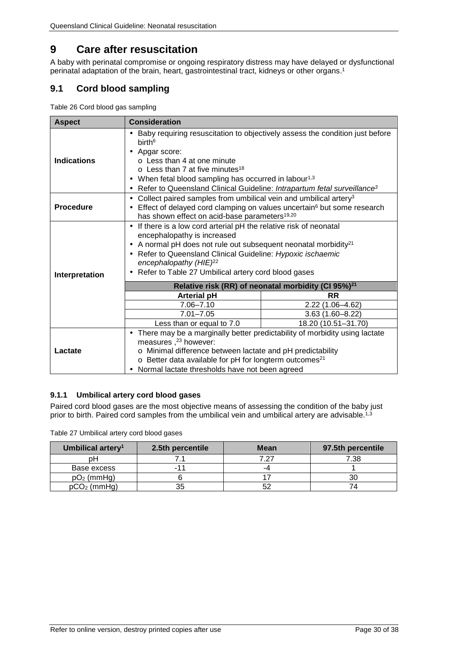## <span id="page-30-0"></span>**9 Care after resuscitation**

A baby with perinatal compromise or ongoing respiratory distress may have delayed or dysfunctional perinatal adaptation of the brain, heart, gastrointestinal tract, kidneys or other organs. 1

### <span id="page-30-1"></span>**9.1 Cord blood sampling**

<span id="page-30-3"></span>Table 26 Cord blood gas sampling

| <b>Aspect</b>      | <b>Consideration</b>                                                                                                                                                                                                                                                                                                                                                        |                     |  |  |
|--------------------|-----------------------------------------------------------------------------------------------------------------------------------------------------------------------------------------------------------------------------------------------------------------------------------------------------------------------------------------------------------------------------|---------------------|--|--|
| <b>Indications</b> | Baby requiring resuscitation to objectively assess the condition just before<br>birth <sup>6</sup><br>Apgar score:<br>$\circ$ Less than 4 at one minute<br>$\circ$ Less than 7 at five minutes <sup>18</sup><br>When fetal blood sampling has occurred in labour <sup>1,3</sup><br>٠<br>Refer to Queensland Clinical Guideline: Intrapartum fetal surveillance <sup>3</sup> |                     |  |  |
| <b>Procedure</b>   | Collect paired samples from umbilical vein and umbilical artery <sup>3</sup><br>$\blacksquare$<br>Effect of delayed cord clamping on values uncertain <sup>6</sup> but some research<br>has shown effect on acid-base parameters <sup>19,20</sup>                                                                                                                           |                     |  |  |
| Interpretation     | If there is a low cord arterial pH the relative risk of neonatal<br>$\blacksquare$<br>encephalopathy is increased<br>A normal pH does not rule out subsequent neonatal morbidity <sup>21</sup><br>Refer to Queensland Clinical Guideline: Hypoxic ischaemic<br>٠<br>encephalopathy (HIE) <sup>22</sup><br>Refer to Table 27 Umbilical artery cord blood gases               |                     |  |  |
|                    | Relative risk (RR) of neonatal morbidity (CI 95%) <sup>21</sup>                                                                                                                                                                                                                                                                                                             |                     |  |  |
|                    | <b>Arterial pH</b>                                                                                                                                                                                                                                                                                                                                                          | <b>RR</b>           |  |  |
|                    | $7.06 - 7.10$                                                                                                                                                                                                                                                                                                                                                               | 2.22 (1.06-4.62)    |  |  |
|                    | $7.01 - 7.05$                                                                                                                                                                                                                                                                                                                                                               | $3.63(1.60 - 8.22)$ |  |  |
|                    | 18.20 (10.51-31.70)<br>Less than or equal to 7.0<br>There may be a marginally better predictability of morbidity using lactate                                                                                                                                                                                                                                              |                     |  |  |
| Lactate            | measures, <sup>23</sup> however:<br>o Minimal difference between lactate and pH predictability<br>o Better data available for pH for longterm outcomes <sup>21</sup><br>Normal lactate thresholds have not been agreed                                                                                                                                                      |                     |  |  |

#### <span id="page-30-2"></span>**9.1.1 Umbilical artery cord blood gases**

Paired cord blood gases are the most objective means of assessing the condition of the baby just prior to birth. Paired cord samples from the umbilical vein and umbilical artery are advisable.<sup>[1,](#page-34-1)3</sup>

<span id="page-30-4"></span>Table 27 Umbilical artery cord blood gases

| Umbilical artery <sup>1</sup> | 2.5th percentile | Mean | 97.5th percentile |
|-------------------------------|------------------|------|-------------------|
| nН                            |                  | 7 27 | 7.38              |
| Base excess                   | $-17$            | -4   |                   |
| $pO2$ (mmHg)                  |                  |      |                   |
| $pCO2$ (mmHg)                 | 35               |      |                   |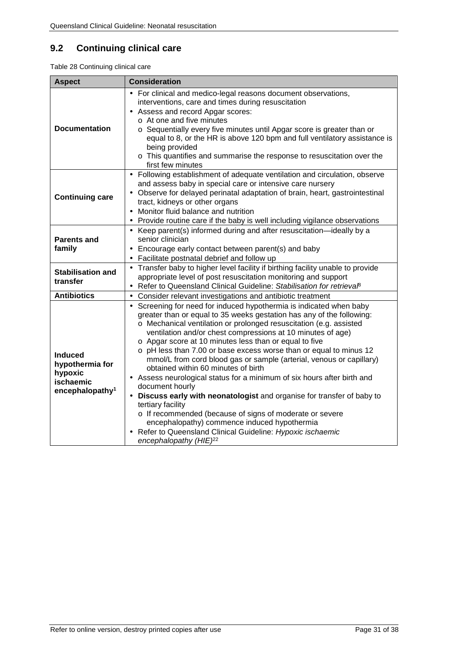## <span id="page-31-0"></span>**9.2 Continuing clinical care**

<span id="page-31-1"></span>Table 28 Continuing clinical care

| <b>Aspect</b>                                                                            | <b>Consideration</b>                                                                                                                                                                                                                                                                                                                                                                                                                                                                                                                                                                                                                                                                                                                                                                                                                                                                                                                    |
|------------------------------------------------------------------------------------------|-----------------------------------------------------------------------------------------------------------------------------------------------------------------------------------------------------------------------------------------------------------------------------------------------------------------------------------------------------------------------------------------------------------------------------------------------------------------------------------------------------------------------------------------------------------------------------------------------------------------------------------------------------------------------------------------------------------------------------------------------------------------------------------------------------------------------------------------------------------------------------------------------------------------------------------------|
| <b>Documentation</b>                                                                     | For clinical and medico-legal reasons document observations,<br>interventions, care and times during resuscitation<br>Assess and record Apgar scores:<br>o At one and five minutes<br>o Sequentially every five minutes until Apgar score is greater than or<br>equal to 8, or the HR is above 120 bpm and full ventilatory assistance is<br>being provided<br>o This quantifies and summarise the response to resuscitation over the<br>first few minutes                                                                                                                                                                                                                                                                                                                                                                                                                                                                              |
| <b>Continuing care</b>                                                                   | Following establishment of adequate ventilation and circulation, observe<br>ä,<br>and assess baby in special care or intensive care nursery<br>Observe for delayed perinatal adaptation of brain, heart, gastrointestinal<br>tract, kidneys or other organs<br>Monitor fluid balance and nutrition<br>Provide routine care if the baby is well including vigilance observations                                                                                                                                                                                                                                                                                                                                                                                                                                                                                                                                                         |
| <b>Parents and</b><br>family                                                             | Keep parent(s) informed during and after resuscitation-ideally by a<br>senior clinician<br>Encourage early contact between parent(s) and baby<br>Facilitate postnatal debrief and follow up                                                                                                                                                                                                                                                                                                                                                                                                                                                                                                                                                                                                                                                                                                                                             |
| <b>Stabilisation and</b><br>transfer                                                     | Transfer baby to higher level facility if birthing facility unable to provide<br>appropriate level of post resuscitation monitoring and support<br>Refer to Queensland Clinical Guideline: Stabilisation for retrievaß                                                                                                                                                                                                                                                                                                                                                                                                                                                                                                                                                                                                                                                                                                                  |
| <b>Antibiotics</b>                                                                       | Consider relevant investigations and antibiotic treatment                                                                                                                                                                                                                                                                                                                                                                                                                                                                                                                                                                                                                                                                                                                                                                                                                                                                               |
| <b>Induced</b><br>hypothermia for<br>hypoxic<br>ischaemic<br>encephalopathy <sup>1</sup> | Screening for need for induced hypothermia is indicated when baby<br>greater than or equal to 35 weeks gestation has any of the following:<br>o Mechanical ventilation or prolonged resuscitation (e.g. assisted<br>ventilation and/or chest compressions at 10 minutes of age)<br>o Apgar score at 10 minutes less than or equal to five<br>o pH less than 7.00 or base excess worse than or equal to minus 12<br>mmol/L from cord blood gas or sample (arterial, venous or capillary)<br>obtained within 60 minutes of birth<br>Assess neurological status for a minimum of six hours after birth and<br>document hourly<br>Discuss early with neonatologist and organise for transfer of baby to<br>tertiary facility<br>o If recommended (because of signs of moderate or severe<br>encephalopathy) commence induced hypothermia<br>Refer to Queensland Clinical Guideline: Hypoxic ischaemic<br>encephalopathy (HIE) <sup>22</sup> |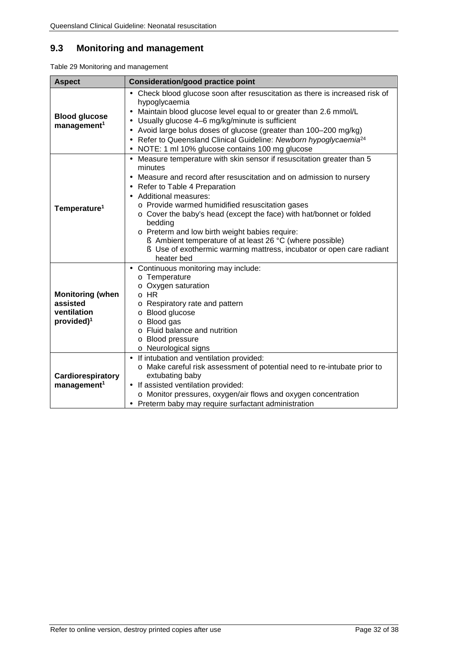### <span id="page-32-0"></span>**9.3 Monitoring and management**

<span id="page-32-1"></span>Table 29 Monitoring and management

| <b>Aspect</b>                                                                | <b>Consideration/good practice point</b>                                                                                                                                                                                                                                                                                                                                                                                                                                                                                                                     |
|------------------------------------------------------------------------------|--------------------------------------------------------------------------------------------------------------------------------------------------------------------------------------------------------------------------------------------------------------------------------------------------------------------------------------------------------------------------------------------------------------------------------------------------------------------------------------------------------------------------------------------------------------|
| <b>Blood glucose</b><br>management <sup>1</sup>                              | Check blood glucose soon after resuscitation as there is increased risk of<br>hypoglycaemia<br>Maintain blood glucose level equal to or greater than 2.6 mmol/L<br>Usually glucose 4-6 mg/kg/minute is sufficient<br>٠<br>Avoid large bolus doses of glucose (greater than 100-200 mg/kg)<br>$\blacksquare$<br>Refer to Queensland Clinical Guideline: Newborn hypoglycaemia <sup>24</sup><br>$\blacksquare$<br>NOTE: 1 ml 10% glucose contains 100 mg glucose                                                                                               |
| Temperature <sup>1</sup>                                                     | Measure temperature with skin sensor if resuscitation greater than 5<br>ä,<br>minutes<br>Measure and record after resuscitation and on admission to nursery<br>Refer to Table 4 Preparation<br>Additional measures:<br>o Provide warmed humidified resuscitation gases<br>o Cover the baby's head (except the face) with hat/bonnet or folded<br>bedding<br>o Preterm and low birth weight babies require:<br>§ Ambient temperature of at least 26 °C (where possible)<br>S Use of exothermic warming mattress, incubator or open care radiant<br>heater bed |
| <b>Monitoring (when</b><br>assisted<br>ventilation<br>provided) <sup>1</sup> | Continuous monitoring may include:<br>o Temperature<br>$\circ$ Oxygen saturation<br>$\circ$ HR<br>o Respiratory rate and pattern<br>o Blood glucose<br>o Blood gas<br>o Fluid balance and nutrition<br>o Blood pressure<br>o Neurological signs                                                                                                                                                                                                                                                                                                              |
| Cardiorespiratory<br>management <sup>1</sup>                                 | If intubation and ventilation provided:<br>o Make careful risk assessment of potential need to re-intubate prior to<br>extubating baby<br>If assisted ventilation provided:<br>×,<br>o Monitor pressures, oxygen/air flows and oxygen concentration<br>Preterm baby may require surfactant administration                                                                                                                                                                                                                                                    |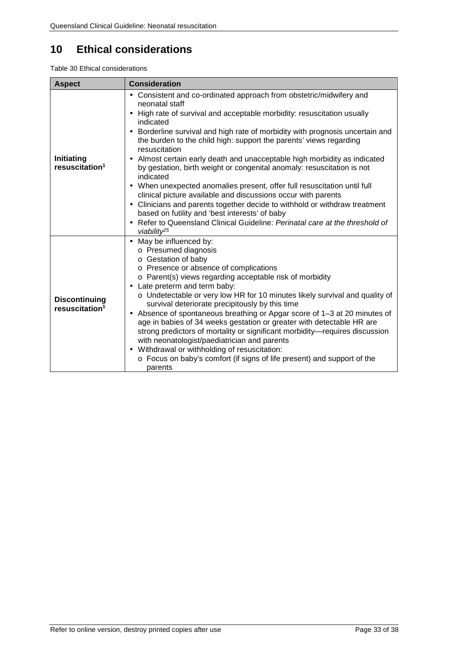## <span id="page-33-0"></span>**10 Ethical considerations**

<span id="page-33-1"></span>Table 30 Ethical considerations

| <b>Aspect</b>                                      | <b>Consideration</b>                                                                                                                                                                                                                                                                                                                                                                                                                                                                                                                                                                                                                                                                                                                                                                                                                                                                            |
|----------------------------------------------------|-------------------------------------------------------------------------------------------------------------------------------------------------------------------------------------------------------------------------------------------------------------------------------------------------------------------------------------------------------------------------------------------------------------------------------------------------------------------------------------------------------------------------------------------------------------------------------------------------------------------------------------------------------------------------------------------------------------------------------------------------------------------------------------------------------------------------------------------------------------------------------------------------|
| Initiating<br>resuscitation <sup>1</sup>           | Consistent and co-ordinated approach from obstetric/midwifery and<br>neonatal staff<br>High rate of survival and acceptable morbidity: resuscitation usually<br>indicated<br>Borderline survival and high rate of morbidity with prognosis uncertain and<br>$\blacksquare$<br>the burden to the child high: support the parents' views regarding<br>resuscitation<br>Almost certain early death and unacceptable high morbidity as indicated<br>by gestation, birth weight or congenital anomaly: resuscitation is not<br>indicated<br>When unexpected anomalies present, offer full resuscitation until full<br>clinical picture available and discussions occur with parents<br>Clinicians and parents together decide to withhold or withdraw treatment<br>٠<br>based on futility and 'best interests' of baby<br>Refer to Queensland Clinical Guideline: Perinatal care at the threshold of |
| <b>Discontinuing</b><br>resuscitation <sup>1</sup> | viability <sup>25</sup><br>May be influenced by:<br>×.<br>o Presumed diagnosis<br>o Gestation of baby<br>o Presence or absence of complications<br>o Parent(s) views regarding acceptable risk of morbidity<br>Late preterm and term baby:<br>$\blacksquare$<br>o Undetectable or very low HR for 10 minutes likely survival and quality of<br>survival deteriorate precipitously by this time<br>Absence of spontaneous breathing or Apgar score of 1-3 at 20 minutes of<br>ï<br>age in babies of 34 weeks gestation or greater with detectable HR are<br>strong predictors of mortality or significant morbidity-requires discussion<br>with neonatologist/paediatrician and parents<br>Withdrawal or withholding of resuscitation:<br>$\blacksquare$<br>o Focus on baby's comfort (if signs of life present) and support of the<br>parents                                                   |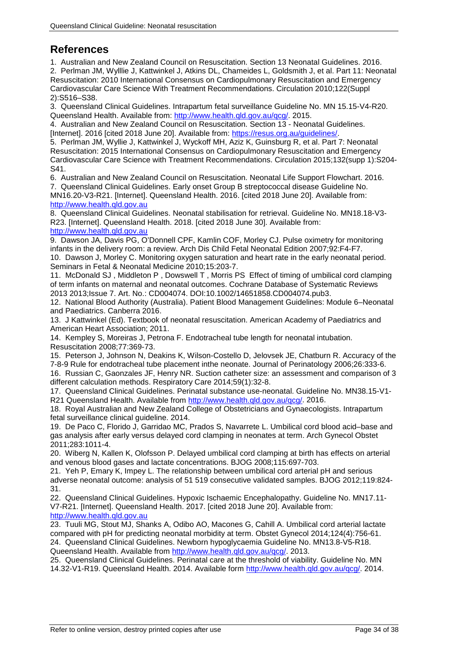## <span id="page-34-0"></span>**References**

<span id="page-34-1"></span>1. Australian and New Zealand Council on Resuscitation. Section 13 Neonatal Guidelines. 2016.

<span id="page-34-4"></span>2. Perlman JM, Wylllie J, Kattwinkel J, Atkins DL, Chameides L, Goldsmith J, et al. Part 11: Neonatal Resuscitation: 2010 International Consensus on Cardiopulmonary Resuscitation and Emergency Cardiovascular Care Science With Treatment Recommendations. Circulation 2010;122(Suppl 2):S516–S38.

<span id="page-34-9"></span>3. Queensland Clinical Guidelines. Intrapartum fetal surveillance Guideline No. MN 15.15-V4-R20. Queensland Health. Available from: [http://www.health.qld.gov.au/qcg/.](http://www.health.qld.gov.au/qcg/) 2015.

4. Australian and New Zealand Council on Resuscitation. Section 13 - Neonatal Guidelines. [Internet]. 2016 [cited 2018 June 20]. Available from: [https://resus.org.au/guidelines/.](https://resus.org.au/guidelines/)

<span id="page-34-2"></span>5. Perlman JM, Wyllie J, Kattwinkel J, Wyckoff MH, Aziz K, Guinsburg R, et al. Part 7: Neonatal Resuscitation: 2015 International Consensus on Cardiopulmonary Resuscitation and Emergency Cardiovascular Care Science with Treatment Recommendations. Circulation 2015;132(supp 1):S204- S41.

6. Australian and New Zealand Council on Resuscitation. Neonatal Life Support Flowchart. 2016. 7. Queensland Clinical Guidelines. Early onset Group B streptococcal disease Guideline No. MN16.20-V3-R21. [Internet]. Queensland Health. 2016. [cited 2018 June 20]. Available from: [http://www.health.qld.gov.au](http://www.health.qld.gov.au/)

8. Queensland Clinical Guidelines. Neonatal stabilisation for retrieval. Guideline No. MN18.18-V3- R23. [Internet]. Queensland Health. 2018. [cited 2018 June 30]. Available from: [http://www.health.qld.gov.au](http://www.health.qld.gov.au/)

9. Dawson JA, Davis PG, O'Donnell CPF, Kamlin COF, Morley CJ. Pulse oximetry for monitoring infants in the delivery room: a review. Arch Dis Child Fetal Neonatal Edition 2007;92:F4-F7. 10. Dawson J, Morley C. Monitoring oxygen saturation and heart rate in the early neonatal period.

<span id="page-34-3"></span>Seminars in Fetal & Neonatal Medicine 2010;15:203-7. 11. McDonald SJ , Middleton P , Dowswell T , Morris PS Effect of timing of umbilical cord clamping of term infants on maternal and neonatal outcomes. Cochrane Database of Systematic Reviews 2013 2013;Issue 7. Art. No.: CD004074. DOI:10.1002/14651858.CD004074.pub3.

<span id="page-34-8"></span>12. National Blood Authority (Australia). Patient Blood Management Guidelines: Module 6–Neonatal and Paediatrics. Canberra 2016.

<span id="page-34-5"></span>13. J Kattwinkel (Ed). Textbook of neonatal resuscitation. American Academy of Paediatrics and American Heart Association; 2011.

<span id="page-34-6"></span>14. Kempley S, Moreiras J, Petrona F. Endotracheal tube length for neonatal intubation. Resuscitation 2008;77:369-73.

<span id="page-34-7"></span>15. Peterson J, Johnson N, Deakins K, Wilson-Costello D, Jelovsek JE, Chatburn R. Accuracy of the 7-8-9 Rule for endotracheal tube placement inthe neonate. Journal of Perinatology 2006;26:333-6.

16. Russian C, Gaonzales JF, Henry NR. Suction catheter size: an assessment and comparison of 3 different calculation methods. Respiratory Care 2014;59(1):32-8.

17. Queensland Clinical Guidelines. Perinatal substance use-neonatal. Guideline No. MN38.15-V1 R21 Queensland Health. Available from [http://www.health.qld.gov.au/qcg/.](http://www.health.qld.gov.au/qcg/) 2016.

18. Royal Australian and New Zealand College of Obstetricians and Gynaecologists. Intrapartum fetal surveillance clinical guideline. 2014.

<span id="page-34-10"></span>19. De Paco C, Florido J, Garridao MC, Prados S, Navarrete L. Umbilical cord blood acid–base and gas analysis after early versus delayed cord clamping in neonates at term. Arch Gynecol Obstet 2011;283:1011-4.

<span id="page-34-11"></span>20. Wiberg N, Kallen K, Olofsson P. Delayed umbilical cord clamping at birth has effects on arterial and venous blood gases and lactate concentrations. BJOG 2008;115:697-703.

21. Yeh P, Emary K, Impey L. The relationship between umbilical cord arterial pH and serious adverse neonatal outcome: analysis of 51 519 consecutive validated samples. BJOG 2012;119:824- 31.

22. Queensland Clinical Guidelines. Hypoxic Ischaemic Encephalopathy. Guideline No. MN17.11- V7-R21. [Internet]. Queensland Health. 2017. [cited 2018 June 20]. Available from: [http://www.health.qld.gov.au](http://www.health.qld.gov.au/)

23. Tuuli MG, Stout MJ, Shanks A, Odibo AO, Macones G, Cahill A. Umbilical cord arterial lactate compared with pH for predicting neonatal morbidity at term. Obstet Gynecol 2014;124(4):756-61. 24. Queensland Clinical Guidelines. Newborn hypoglycaemia Guideline No. MN13.8-V5-R18. Queensland Health. Available from [http://www.health.qld.gov.au/qcg/.](http://www.health.qld.gov.au/qcg/) 2013.

25. Queensland Clinical Guidelines. Perinatal care at the threshold of viability. Guideline No. MN 14.32-V1-R19. Queensland Health. 2014. Available form [http://www.health.qld.gov.au/qcg/.](http://www.health.qld.gov.au/qcg/) 2014.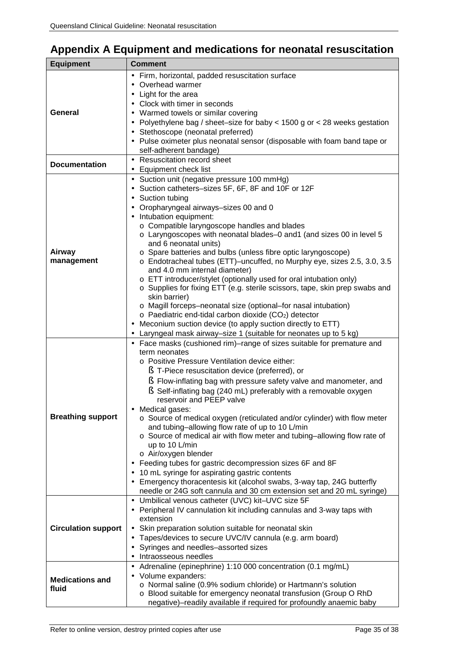## <span id="page-35-0"></span>**Appendix A Equipment and medications for neonatal resuscitation**

<span id="page-35-1"></span>

| Firm, horizontal, padded resuscitation surface                                                                                          |  |
|-----------------------------------------------------------------------------------------------------------------------------------------|--|
|                                                                                                                                         |  |
| Overhead warmer                                                                                                                         |  |
| Light for the area                                                                                                                      |  |
| Clock with timer in seconds                                                                                                             |  |
| General<br>Warmed towels or similar covering                                                                                            |  |
| Polyethylene bag / sheet-size for baby < 1500 g or < 28 weeks gestation<br>٠                                                            |  |
| Stethoscope (neonatal preferred)<br>$\blacksquare$                                                                                      |  |
| Pulse oximeter plus neonatal sensor (disposable with foam band tape or<br>$\blacksquare$                                                |  |
| self-adherent bandage)                                                                                                                  |  |
| Resuscitation record sheet<br>$\sim$<br><b>Documentation</b>                                                                            |  |
| Equipment check list<br>$\bullet$                                                                                                       |  |
| Suction unit (negative pressure 100 mmHg)<br>×.                                                                                         |  |
| Suction catheters-sizes 5F, 6F, 8F and 10F or 12F                                                                                       |  |
| Suction tubing                                                                                                                          |  |
| Oropharyngeal airways-sizes 00 and 0                                                                                                    |  |
| Intubation equipment:                                                                                                                   |  |
| o Compatible laryngoscope handles and blades<br>o Laryngoscopes with neonatal blades-0 and1 (and sizes 00 in level 5                    |  |
| and 6 neonatal units)                                                                                                                   |  |
| Airway<br>o Spare batteries and bulbs (unless fibre optic laryngoscope)                                                                 |  |
| management<br>o Endotracheal tubes (ETT)-uncuffed, no Murphy eye, sizes 2.5, 3.0, 3.5                                                   |  |
| and 4.0 mm internal diameter)                                                                                                           |  |
| o ETT introducer/stylet (optionally used for oral intubation only)                                                                      |  |
| o Supplies for fixing ETT (e.g. sterile scissors, tape, skin prep swabs and                                                             |  |
| skin barrier)                                                                                                                           |  |
| o Magill forceps-neonatal size (optional-for nasal intubation)                                                                          |  |
| o Paediatric end-tidal carbon dioxide (CO2) detector                                                                                    |  |
| Meconium suction device (to apply suction directly to ETT)                                                                              |  |
| Laryngeal mask airway-size 1 (suitable for neonates up to 5 kg)<br>Face masks (cushioned rim)-range of sizes suitable for premature and |  |
| term neonates                                                                                                                           |  |
| o Positive Pressure Ventilation device either:                                                                                          |  |
| § T-Piece resuscitation device (preferred), or                                                                                          |  |
| S Flow-inflating bag with pressure safety valve and manometer, and                                                                      |  |
| S Self-inflating bag (240 mL) preferably with a removable oxygen                                                                        |  |
| reservoir and PEEP valve                                                                                                                |  |
| Medical gases:                                                                                                                          |  |
| <b>Breathing support</b><br>o Source of medical oxygen (reticulated and/or cylinder) with flow meter                                    |  |
| and tubing-allowing flow rate of up to 10 L/min                                                                                         |  |
| o Source of medical air with flow meter and tubing-allowing flow rate of                                                                |  |
| up to 10 L/min<br>o Air/oxygen blender                                                                                                  |  |
| Feeding tubes for gastric decompression sizes 6F and 8F                                                                                 |  |
| 10 mL syringe for aspirating gastric contents                                                                                           |  |
| Emergency thoracentesis kit (alcohol swabs, 3-way tap, 24G butterfly                                                                    |  |
| needle or 24G soft cannula and 30 cm extension set and 20 mL syringe)                                                                   |  |
| - Umbilical venous catheter (UVC) kit-UVC size 5F                                                                                       |  |
| Peripheral IV cannulation kit including cannulas and 3-way taps with                                                                    |  |
| extension                                                                                                                               |  |
| <b>Circulation support</b><br>Skin preparation solution suitable for neonatal skin<br>٠                                                 |  |
| Tapes/devices to secure UVC/IV cannula (e.g. arm board)<br>$\blacksquare$                                                               |  |
| Syringes and needles-assorted sizes                                                                                                     |  |
| Intraosseous needles                                                                                                                    |  |
| Adrenaline (epinephrine) 1:10 000 concentration (0.1 mg/mL)                                                                             |  |
| Volume expanders:<br>٠<br><b>Medications and</b>                                                                                        |  |
| o Normal saline (0.9% sodium chloride) or Hartmann's solution<br>fluid                                                                  |  |
| o Blood suitable for emergency neonatal transfusion (Group O RhD<br>negative)-readily available if required for profoundly anaemic baby |  |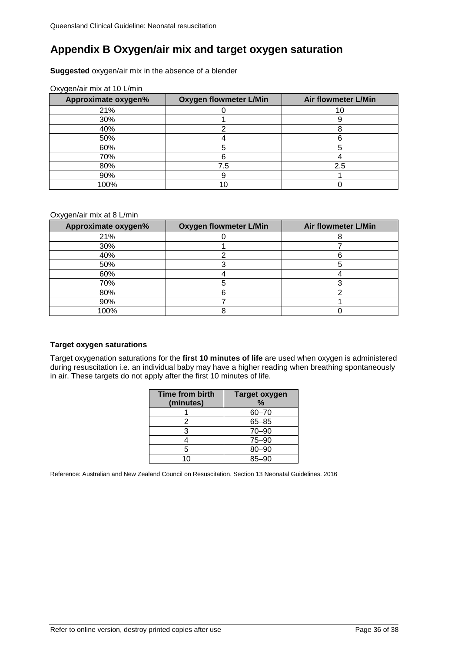## <span id="page-36-0"></span>**Appendix B Oxygen/air mix and target oxygen saturation**

#### **Suggested** oxygen/air mix in the absence of a blender

| - -<br>Approximate oxygen% | <b>Oxygen flowmeter L/Min</b> | <b>Air flowmeter L/Min</b> |
|----------------------------|-------------------------------|----------------------------|
| 21%                        |                               |                            |
| 30%                        |                               |                            |
| 40%                        |                               |                            |
| 50%                        |                               |                            |
| 60%                        |                               |                            |
| 70%                        |                               |                            |
| 80%                        | 7.5                           | 2.5                        |
| 90%                        |                               |                            |
| 100%                       |                               |                            |

#### Oxygen/air mix at 10 L/min

#### Oxygen/air mix at 8 L/min

| Approximate oxygen% | <b>Oxygen flowmeter L/Min</b> | Air flowmeter L/Min |  |
|---------------------|-------------------------------|---------------------|--|
| 21%                 |                               |                     |  |
| 30%                 |                               |                     |  |
| 40%                 |                               |                     |  |
| 50%                 |                               |                     |  |
| 60%                 |                               |                     |  |
| 70%                 |                               |                     |  |
| 80%                 |                               |                     |  |
| 90%                 |                               |                     |  |
| 100%                |                               |                     |  |

#### **Target oxygen saturations**

Target oxygenation saturations for the **first 10 minutes of life** are used when oxygen is administered during resuscitation i.e. an individual baby may have a higher reading when breathing spontaneously in air. These targets do not apply after the first 10 minutes of life.

| <b>Time from birth</b><br>(minutes) | Target oxygen<br>$\%$ |
|-------------------------------------|-----------------------|
|                                     | $60 - 70$             |
| 2                                   | $65 - 85$             |
| 3                                   | $70 - 90$             |
|                                     | $75 - 90$             |
| 5                                   | 80-90                 |
| 10                                  | $85 - 90$             |

Reference: Australian and New Zealand Council on Resuscitation. Section 13 Neonatal Guidelines. 2016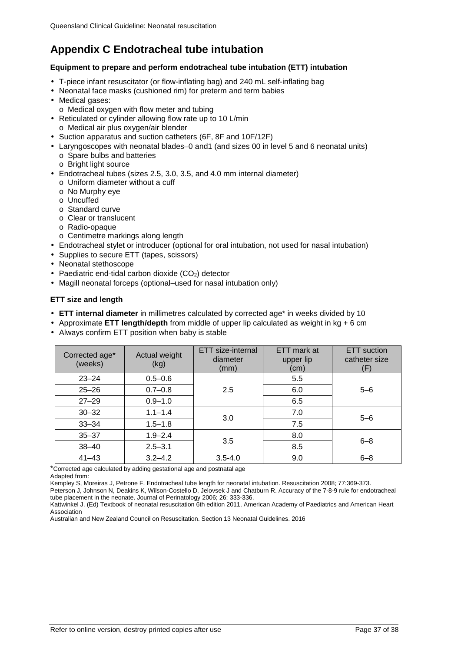## <span id="page-37-0"></span>**Appendix C Endotracheal tube intubation**

#### **Equipment to prepare and perform endotracheal tube intubation (ETT) intubation**

- T-piece infant resuscitator (or flow-inflating bag) and 240 mL self-inflating bag
- Neonatal face masks (cushioned rim) for preterm and term babies
- Medical gases:
- o Medical oxygen with flow meter and tubing
- Reticulated or cylinder allowing flow rate up to 10 L/min
- o Medical air plus oxygen/air blender
- Suction apparatus and suction catheters (6F, 8F and 10F/12F)
- Laryngoscopes with neonatal blades–0 and1 (and sizes 00 in level 5 and 6 neonatal units)
- o Spare bulbs and batteries
- o Bright light source
- Endotracheal tubes (sizes 2.5, 3.0, 3.5, and 4.0 mm internal diameter)
- o Uniform diameter without a cuff
- o No Murphy eye
- o Uncuffed
- o Standard curve
- o Clear or translucent
- o Radio-opaque
- o Centimetre markings along length
- Endotracheal stylet or introducer (optional for oral intubation, not used for nasal intubation)
- Supplies to secure ETT (tapes, scissors)
- Neonatal stethoscope
- Paediatric end-tidal carbon dioxide  $(CO<sub>2</sub>)$  detector
- Magill neonatal forceps (optional–used for nasal intubation only)

#### **ETT size and length**

- **ETT internal diameter** in millimetres calculated by corrected age\* in weeks divided by 10
- Approximate **ETT length/depth** from middle of upper lip calculated as weight in kg + 6 cm
- Always confirm ETT position when baby is stable

| Corrected age*<br>(weeks) | Actual weight<br>(kg) | ETT size-internal<br>diameter<br>(mm) | ETT mark at<br>upper lip<br>(cm) | <b>ETT</b> suction<br>catheter size<br>(F) |
|---------------------------|-----------------------|---------------------------------------|----------------------------------|--------------------------------------------|
| $23 - 24$                 | $0.5 - 0.6$           |                                       | 5.5                              |                                            |
| $25 - 26$                 | $0.7 - 0.8$           | 2.5                                   | 6.0                              | $5 - 6$                                    |
| $27 - 29$                 | $0.9 - 1.0$           |                                       | 6.5                              |                                            |
| $30 - 32$                 | $1.1 - 1.4$           | 3.0                                   | 7.0                              | $5 - 6$                                    |
| $33 - 34$                 | $1.5 - 1.8$           |                                       | 7.5                              |                                            |
| $35 - 37$                 | $1.9 - 2.4$           | 3.5                                   | 8.0                              | $6 - 8$                                    |
| $38 - 40$                 | $2.5 - 3.1$           |                                       | 8.5                              |                                            |
| $41 - 43$                 | $3.2 - 4.2$           | $3.5 - 4.0$                           | 9.0                              | $6 - 8$                                    |

\*Corrected age calculated by adding gestational age and postnatal age

Adapted from:

Kempley S, Moreiras J, Petrone F. Endotracheal tube length for neonatal intubation. Resuscitation 2008; 77:369-373.

Peterson J, Johnson N, Deakins K, Wilson-Costello D, Jelovsek J and Chatburn R. Accuracy of the 7-8-9 rule for endotracheal tube placement in the neonate. Journal of Perinatology 2006; 26: 333-336.

Kattwinkel J. (Ed) Textbook of neonatal resuscitation 6th edition 2011, American Academy of Paediatrics and American Heart Association

Australian and New Zealand Council on Resuscitation. Section 13 Neonatal Guidelines. 2016